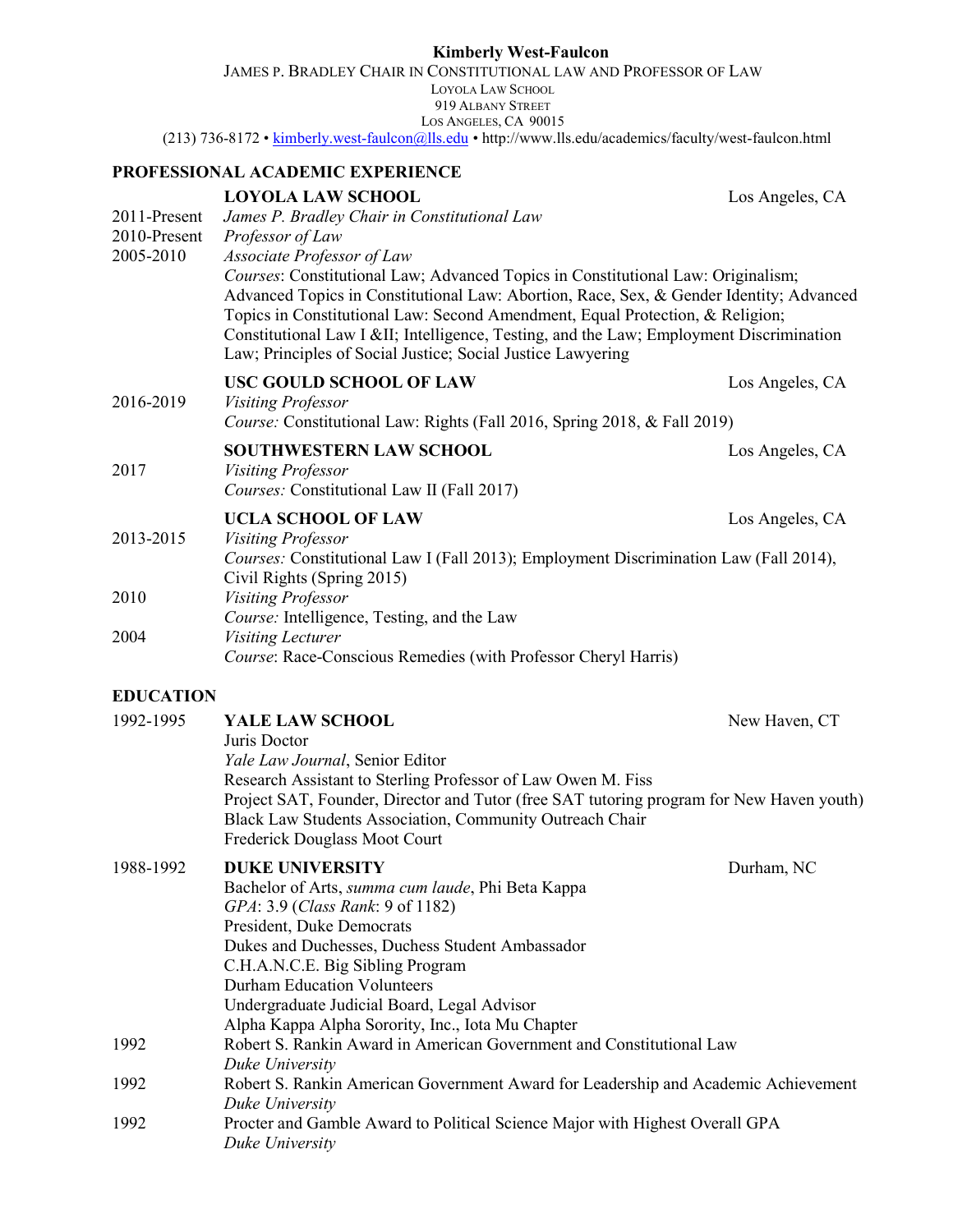|                              | <b>Kimberly West-Faulcon</b>                                                                                                                                                                                                                                                                                                                                                                                                                      |                 |
|------------------------------|---------------------------------------------------------------------------------------------------------------------------------------------------------------------------------------------------------------------------------------------------------------------------------------------------------------------------------------------------------------------------------------------------------------------------------------------------|-----------------|
|                              | JAMES P. BRADLEY CHAIR IN CONSTITUTIONAL LAW AND PROFESSOR OF LAW<br><b>LOYOLA LAW SCHOOL</b><br>919 ALBANY STREET                                                                                                                                                                                                                                                                                                                                |                 |
|                              | LOS ANGELES, CA 90015<br>(213) 736-8172 • kimberly.west-faulcon@lls.edu • http://www.lls.edu/academics/faculty/west-faulcon.html                                                                                                                                                                                                                                                                                                                  |                 |
|                              | PROFESSIONAL ACADEMIC EXPERIENCE                                                                                                                                                                                                                                                                                                                                                                                                                  |                 |
|                              | <b>LOYOLA LAW SCHOOL</b>                                                                                                                                                                                                                                                                                                                                                                                                                          | Los Angeles, CA |
| 2011-Present<br>2010-Present | James P. Bradley Chair in Constitutional Law<br>Professor of Law                                                                                                                                                                                                                                                                                                                                                                                  |                 |
| 2005-2010                    | Associate Professor of Law<br>Courses: Constitutional Law; Advanced Topics in Constitutional Law: Originalism;<br>Advanced Topics in Constitutional Law: Abortion, Race, Sex, & Gender Identity; Advanced<br>Topics in Constitutional Law: Second Amendment, Equal Protection, & Religion;<br>Constitutional Law I ⅈ Intelligence, Testing, and the Law; Employment Discrimination<br>Law; Principles of Social Justice; Social Justice Lawyering |                 |
|                              | USC GOULD SCHOOL OF LAW                                                                                                                                                                                                                                                                                                                                                                                                                           | Los Angeles, CA |
| 2016-2019                    | <b>Visiting Professor</b><br>Course: Constitutional Law: Rights (Fall 2016, Spring 2018, & Fall 2019)                                                                                                                                                                                                                                                                                                                                             |                 |
| 2017                         | <b>SOUTHWESTERN LAW SCHOOL</b><br>Visiting Professor<br>Courses: Constitutional Law II (Fall 2017)                                                                                                                                                                                                                                                                                                                                                | Los Angeles, CA |
|                              | <b>UCLA SCHOOL OF LAW</b>                                                                                                                                                                                                                                                                                                                                                                                                                         | Los Angeles, CA |
| 2013-2015                    | Visiting Professor<br>Courses: Constitutional Law I (Fall 2013); Employment Discrimination Law (Fall 2014),<br>Civil Rights (Spring 2015)                                                                                                                                                                                                                                                                                                         |                 |
| 2010                         | <b>Visiting Professor</b><br>Course: Intelligence, Testing, and the Law                                                                                                                                                                                                                                                                                                                                                                           |                 |
| 2004                         | Visiting Lecturer<br>Course: Race-Conscious Remedies (with Professor Cheryl Harris)                                                                                                                                                                                                                                                                                                                                                               |                 |
| <b>EDUCATION</b>             |                                                                                                                                                                                                                                                                                                                                                                                                                                                   |                 |
| 1992-1995                    | YALE LAW SCHOOL<br>Juris Doctor<br>Yale Law Journal, Senior Editor                                                                                                                                                                                                                                                                                                                                                                                | New Haven, CT   |
|                              | Research Assistant to Sterling Professor of Law Owen M. Fiss<br>Project SAT, Founder, Director and Tutor (free SAT tutoring program for New Haven youth)<br>Black Law Students Association, Community Outreach Chair                                                                                                                                                                                                                              |                 |

|           | Frederick Douglass Moot Court                                                      |            |
|-----------|------------------------------------------------------------------------------------|------------|
| 1988-1992 | <b>DUKE UNIVERSITY</b>                                                             | Durham, NC |
|           | Bachelor of Arts, <i>summa cum laude</i> , Phi Beta Kappa                          |            |
|           | GPA: 3.9 (Class Rank: 9 of 1182)                                                   |            |
|           | President, Duke Democrats                                                          |            |
|           | Dukes and Duchesses, Duchess Student Ambassador                                    |            |
|           | C.H.A.N.C.E. Big Sibling Program                                                   |            |
|           | Durham Education Volunteers                                                        |            |
|           | Undergraduate Judicial Board, Legal Advisor                                        |            |
|           | Alpha Kappa Alpha Sorority, Inc., Iota Mu Chapter                                  |            |
| 1992      | Robert S. Rankin Award in American Government and Constitutional Law               |            |
|           | Duke University                                                                    |            |
| 1992      | Robert S. Rankin American Government Award for Leadership and Academic Achievement |            |
|           | Duke University                                                                    |            |
| 1992      | Procter and Gamble Award to Political Science Major with Highest Overall GPA       |            |
|           | Duke University                                                                    |            |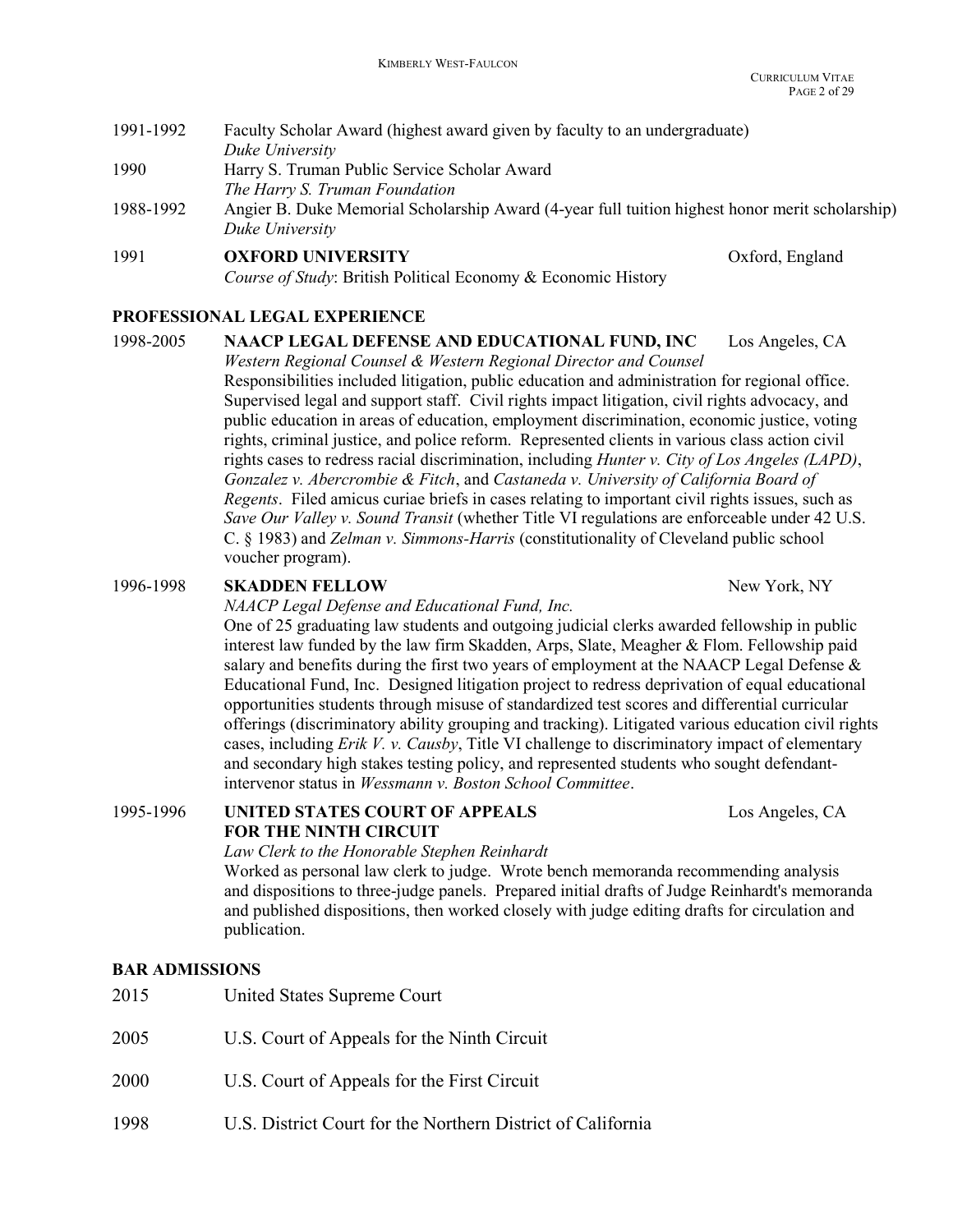| 1991-1992 | Faculty Scholar Award (highest award given by faculty to an undergraduate)                      |                 |
|-----------|-------------------------------------------------------------------------------------------------|-----------------|
|           | Duke University                                                                                 |                 |
| 1990      | Harry S. Truman Public Service Scholar Award                                                    |                 |
|           | The Harry S. Truman Foundation                                                                  |                 |
| 1988-1992 | Angier B. Duke Memorial Scholarship Award (4-year full tuition highest honor merit scholarship) |                 |
|           | Duke University                                                                                 |                 |
| 1991      | <b>OXFORD UNIVERSITY</b>                                                                        | Oxford, England |
|           | Course of Study: British Political Economy & Economic History                                   |                 |

# PROFESSIONAL LEGAL EXPERIENCE

| 1998-2005 | NAACP LEGAL DEFENSE AND EDUCATIONAL FUND, INC<br>Los Angeles, CA<br>Western Regional Counsel & Western Regional Director and Counsel                                                                                                                                                                                                                                                                                                                                                                                            |
|-----------|---------------------------------------------------------------------------------------------------------------------------------------------------------------------------------------------------------------------------------------------------------------------------------------------------------------------------------------------------------------------------------------------------------------------------------------------------------------------------------------------------------------------------------|
|           | Responsibilities included litigation, public education and administration for regional office.<br>Supervised legal and support staff. Civil rights impact litigation, civil rights advocacy, and<br>public education in areas of education, employment discrimination, economic justice, voting<br>rights, criminal justice, and police reform. Represented clients in various class action civil                                                                                                                               |
|           | rights cases to redress racial discrimination, including <i>Hunter v. City of Los Angeles (LAPD)</i> ,<br>Gonzalez v. Abercrombie & Fitch, and Castaneda v. University of California Board of<br><i>Regents.</i> Filed amicus curiae briefs in cases relating to important civil rights issues, such as<br>Save Our Valley v. Sound Transit (whether Title VI regulations are enforceable under 42 U.S.<br>C. $\S$ 1983) and <i>Zelman v. Simmons-Harris</i> (constitutionality of Cleveland public school<br>voucher program). |

## 1996-1998 SKADDEN FELLOW New York, NY

NAACP Legal Defense and Educational Fund, Inc.

 One of 25 graduating law students and outgoing judicial clerks awarded fellowship in public interest law funded by the law firm Skadden, Arps, Slate, Meagher & Flom. Fellowship paid salary and benefits during the first two years of employment at the NAACP Legal Defense & Educational Fund, Inc. Designed litigation project to redress deprivation of equal educational opportunities students through misuse of standardized test scores and differential curricular offerings (discriminatory ability grouping and tracking). Litigated various education civil rights cases, including Erik V. v. Causby, Title VI challenge to discriminatory impact of elementary and secondary high stakes testing policy, and represented students who sought defendant intervenor status in Wessmann v. Boston School Committee.

1995-1996 UNITED STATES COURT OF APPEALS Los Angeles, CA FOR THE NINTH CIRCUIT

Law Clerk to the Honorable Stephen Reinhardt Worked as personal law clerk to judge. Wrote bench memoranda recommending analysis and dispositions to three-judge panels. Prepared initial drafts of Judge Reinhardt's memoranda and published dispositions, then worked closely with judge editing drafts for circulation and publication.

## BAR ADMISSIONS

| 2015 | United States Supreme Court                 |
|------|---------------------------------------------|
| 2005 | U.S. Court of Appeals for the Ninth Circuit |
| 2000 | U.S. Court of Appeals for the First Circuit |

1998 U.S. District Court for the Northern District of California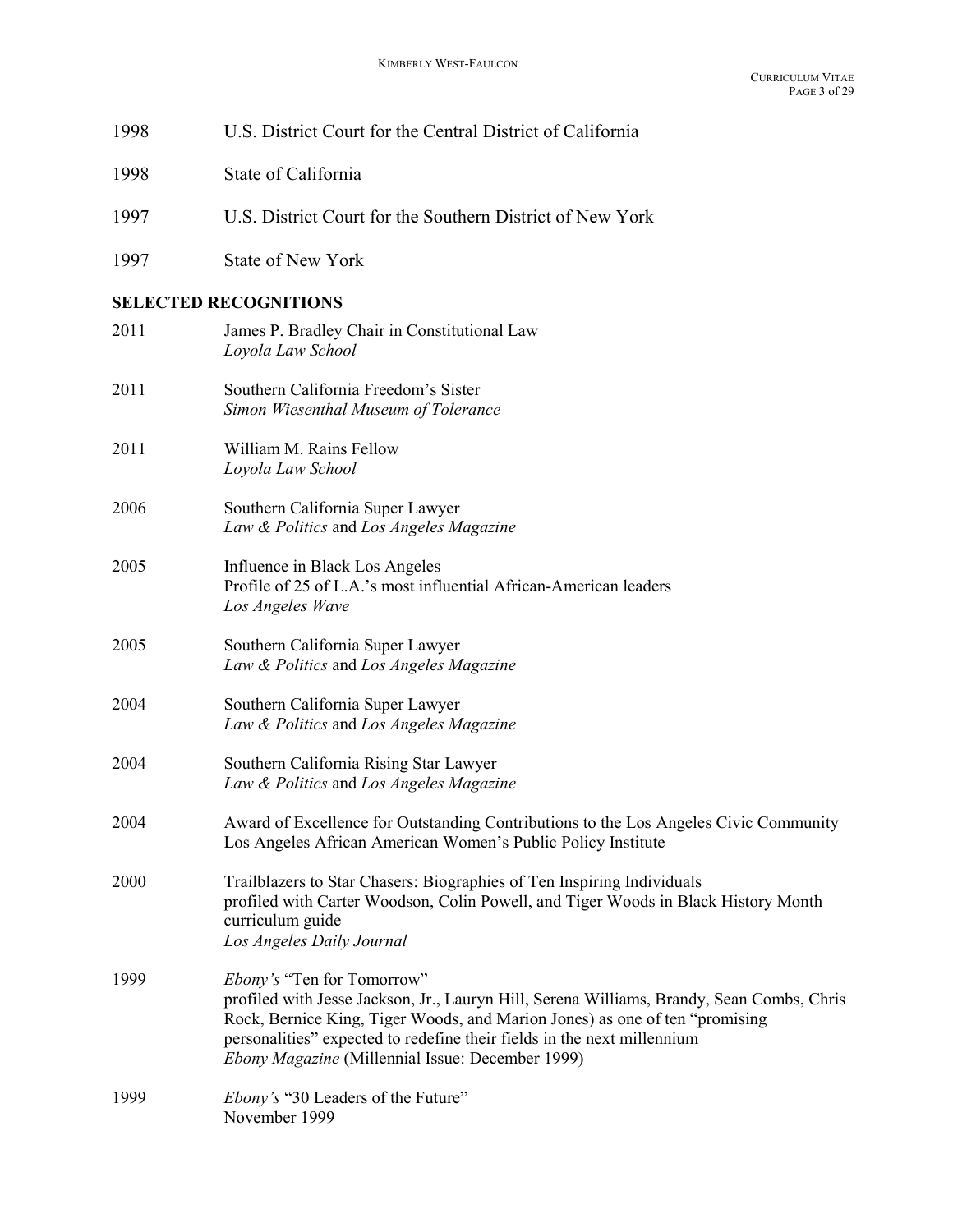| 1998 | U.S. District Court for the Central District of California                                                                                                                                                                                                                                                                            |
|------|---------------------------------------------------------------------------------------------------------------------------------------------------------------------------------------------------------------------------------------------------------------------------------------------------------------------------------------|
| 1998 | State of California                                                                                                                                                                                                                                                                                                                   |
| 1997 | U.S. District Court for the Southern District of New York                                                                                                                                                                                                                                                                             |
| 1997 | <b>State of New York</b>                                                                                                                                                                                                                                                                                                              |
|      | <b>SELECTED RECOGNITIONS</b>                                                                                                                                                                                                                                                                                                          |
| 2011 | James P. Bradley Chair in Constitutional Law<br>Loyola Law School                                                                                                                                                                                                                                                                     |
| 2011 | Southern California Freedom's Sister<br>Simon Wiesenthal Museum of Tolerance                                                                                                                                                                                                                                                          |
| 2011 | William M. Rains Fellow<br>Loyola Law School                                                                                                                                                                                                                                                                                          |
| 2006 | Southern California Super Lawyer<br>Law & Politics and Los Angeles Magazine                                                                                                                                                                                                                                                           |
| 2005 | Influence in Black Los Angeles<br>Profile of 25 of L.A.'s most influential African-American leaders<br>Los Angeles Wave                                                                                                                                                                                                               |
| 2005 | Southern California Super Lawyer<br>Law & Politics and Los Angeles Magazine                                                                                                                                                                                                                                                           |
| 2004 | Southern California Super Lawyer<br>Law & Politics and Los Angeles Magazine                                                                                                                                                                                                                                                           |
| 2004 | Southern California Rising Star Lawyer<br>Law & Politics and Los Angeles Magazine                                                                                                                                                                                                                                                     |
| 2004 | Award of Excellence for Outstanding Contributions to the Los Angeles Civic Community<br>Los Angeles African American Women's Public Policy Institute                                                                                                                                                                                  |
| 2000 | Trailblazers to Star Chasers: Biographies of Ten Inspiring Individuals<br>profiled with Carter Woodson, Colin Powell, and Tiger Woods in Black History Month<br>curriculum guide<br>Los Angeles Daily Journal                                                                                                                         |
| 1999 | Ebony's "Ten for Tomorrow"<br>profiled with Jesse Jackson, Jr., Lauryn Hill, Serena Williams, Brandy, Sean Combs, Chris<br>Rock, Bernice King, Tiger Woods, and Marion Jones) as one of ten "promising<br>personalities" expected to redefine their fields in the next millennium<br>Ebony Magazine (Millennial Issue: December 1999) |
| 1999 | <i>Ebony's</i> "30 Leaders of the Future"<br>November 1999                                                                                                                                                                                                                                                                            |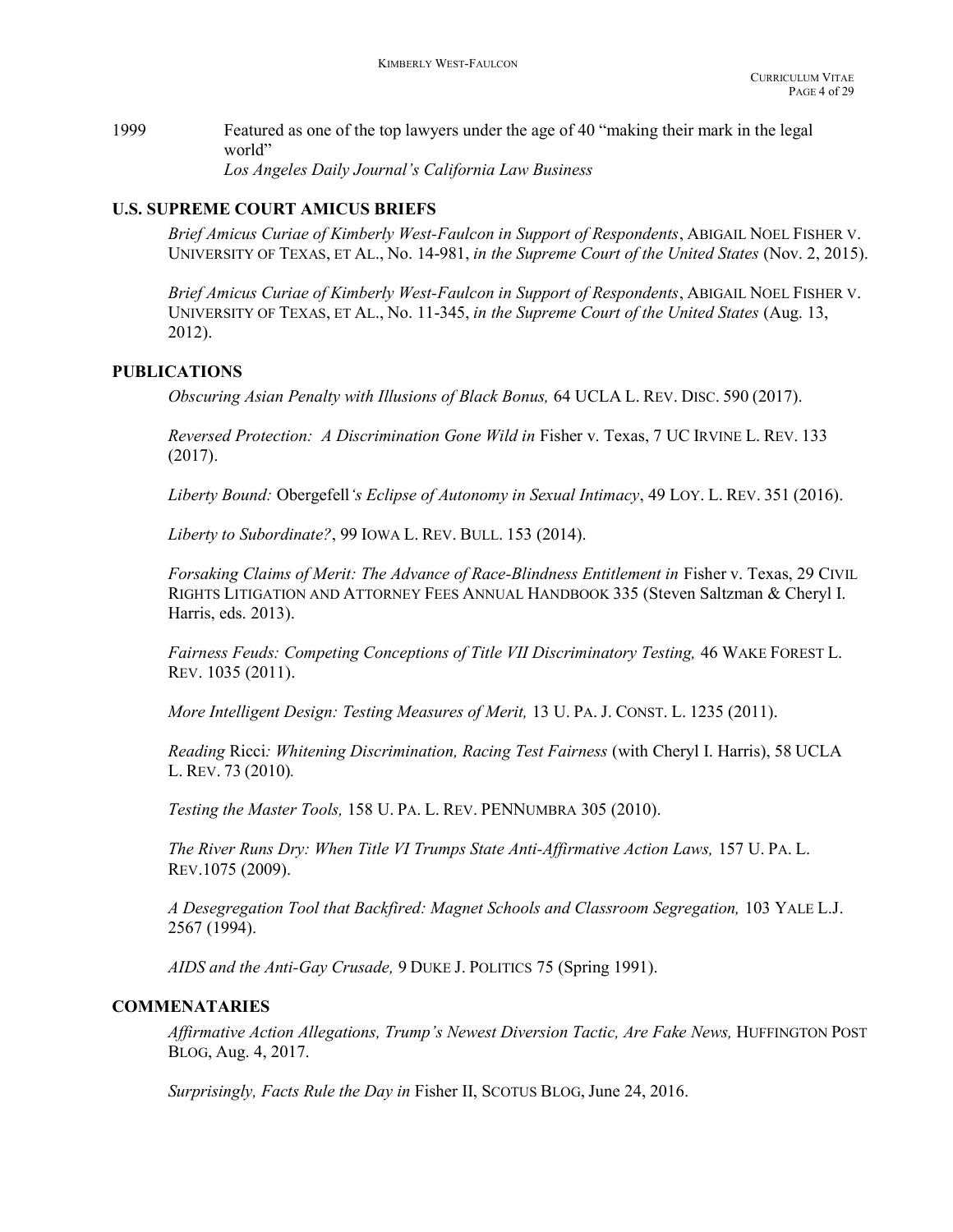1999 Featured as one of the top lawyers under the age of 40 "making their mark in the legal world" Los Angeles Daily Journal's California Law Business

# U.S. SUPREME COURT AMICUS BRIEFS

Brief Amicus Curiae of Kimberly West-Faulcon in Support of Respondents, ABIGAIL NOEL FISHER V. UNIVERSITY OF TEXAS, ET AL., No. 14-981, in the Supreme Court of the United States (Nov. 2, 2015).

Brief Amicus Curiae of Kimberly West-Faulcon in Support of Respondents, ABIGAIL NOEL FISHER V. UNIVERSITY OF TEXAS, ET AL., No. 11-345, in the Supreme Court of the United States (Aug. 13, 2012).

# PUBLICATIONS

Obscuring Asian Penalty with Illusions of Black Bonus, 64 UCLA L. REV. DISC. 590 (2017).

Reversed Protection: A Discrimination Gone Wild in Fisher v. Texas, 7 UC IRVINE L. REV. 133 (2017).

Liberty Bound: Obergefell's Eclipse of Autonomy in Sexual Intimacy, 49 LOY. L. REV. 351 (2016).

Liberty to Subordinate?, 99 IOWA L. REV. BULL. 153 (2014).

Forsaking Claims of Merit: The Advance of Race-Blindness Entitlement in Fisher v. Texas, 29 CIVIL RIGHTS LITIGATION AND ATTORNEY FEES ANNUAL HANDBOOK 335 (Steven Saltzman & Cheryl I. Harris, eds. 2013).

Fairness Feuds: Competing Conceptions of Title VII Discriminatory Testing, 46 WAKE FOREST L. REV. 1035 (2011).

More Intelligent Design: Testing Measures of Merit, 13 U. PA. J. CONST. L. 1235 (2011).

 Reading Ricci: Whitening Discrimination, Racing Test Fairness (with Cheryl I. Harris), 58 UCLA L. REV. 73 (2010).

Testing the Master Tools, 158 U. PA. L. REV. PENNUMBRA 305 (2010).

The River Runs Dry: When Title VI Trumps State Anti-Affirmative Action Laws, 157 U. PA. L. REV.1075 (2009).

A Desegregation Tool that Backfired: Magnet Schools and Classroom Segregation, 103 YALE L.J. 2567 (1994).

AIDS and the Anti-Gay Crusade, 9 DUKE J. POLITICS 75 (Spring 1991).

## COMMENATARIES

Affirmative Action Allegations, Trump's Newest Diversion Tactic, Are Fake News, HUFFINGTON POST BLOG, Aug. 4, 2017.

Surprisingly, Facts Rule the Day in Fisher II, SCOTUS BLOG, June 24, 2016.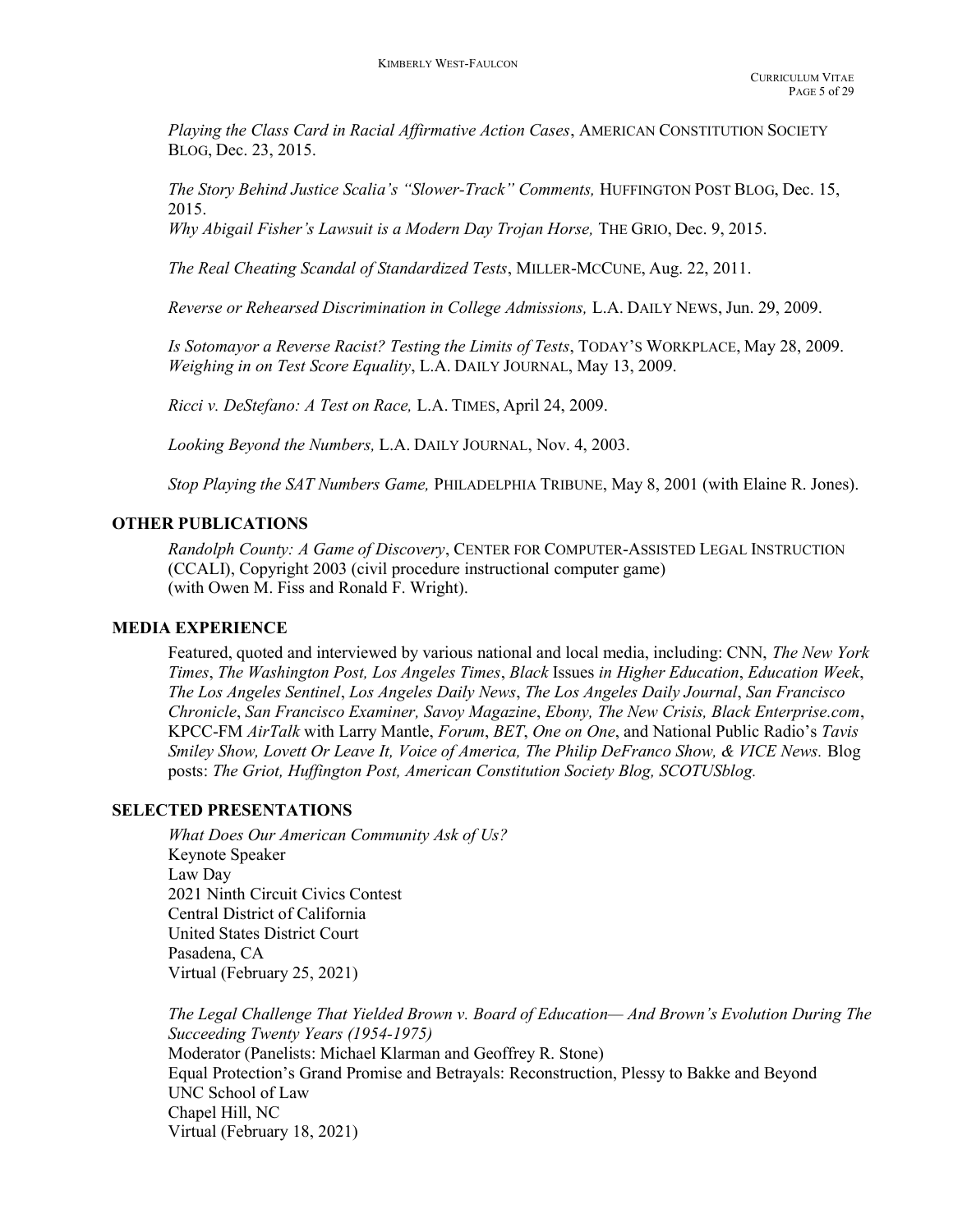Playing the Class Card in Racial Affirmative Action Cases, AMERICAN CONSTITUTION SOCIETY BLOG, Dec. 23, 2015.

The Story Behind Justice Scalia's "Slower-Track" Comments, HUFFINGTON POST BLOG, Dec. 15, 2015.

Why Abigail Fisher's Lawsuit is a Modern Day Trojan Horse, THE GRIO, Dec. 9, 2015.

The Real Cheating Scandal of Standardized Tests, MILLER-MCCUNE, Aug. 22, 2011.

Reverse or Rehearsed Discrimination in College Admissions, L.A. DAILY NEWS, Jun. 29, 2009.

Is Sotomayor a Reverse Racist? Testing the Limits of Tests, TODAY'S WORKPLACE, May 28, 2009. Weighing in on Test Score Equality, L.A. DAILY JOURNAL, May 13, 2009.

Ricci v. DeStefano: A Test on Race, L.A. TIMES, April 24, 2009.

Looking Beyond the Numbers, L.A. DAILY JOURNAL, Nov. 4, 2003.

Stop Playing the SAT Numbers Game, PHILADELPHIA TRIBUNE, May 8, 2001 (with Elaine R. Jones).

#### OTHER PUBLICATIONS

 Randolph County: A Game of Discovery, CENTER FOR COMPUTER-ASSISTED LEGAL INSTRUCTION (CCALI), Copyright 2003 (civil procedure instructional computer game) (with Owen M. Fiss and Ronald F. Wright).

#### MEDIA EXPERIENCE

Featured, quoted and interviewed by various national and local media, including: CNN, The New York Times, The Washington Post, Los Angeles Times, Black Issues in Higher Education, Education Week, The Los Angeles Sentinel, Los Angeles Daily News, The Los Angeles Daily Journal, San Francisco Chronicle, San Francisco Examiner, Savoy Magazine, Ebony, The New Crisis, Black Enterprise.com, KPCC-FM AirTalk with Larry Mantle, Forum, BET, One on One, and National Public Radio's Tavis Smiley Show, Lovett Or Leave It, Voice of America, The Philip DeFranco Show, & VICE News. Blog posts: The Griot, Huffington Post, American Constitution Society Blog, SCOTUSblog.

## SELECTED PRESENTATIONS

What Does Our American Community Ask of Us? Keynote Speaker Law Day 2021 Ninth Circuit Civics Contest Central District of California United States District Court Pasadena, CA Virtual (February 25, 2021)

 The Legal Challenge That Yielded Brown v. Board of Education— And Brown's Evolution During The Succeeding Twenty Years (1954-1975) Moderator (Panelists: Michael Klarman and Geoffrey R. Stone) Equal Protection's Grand Promise and Betrayals: Reconstruction, Plessy to Bakke and Beyond UNC School of Law Chapel Hill, NC Virtual (February 18, 2021)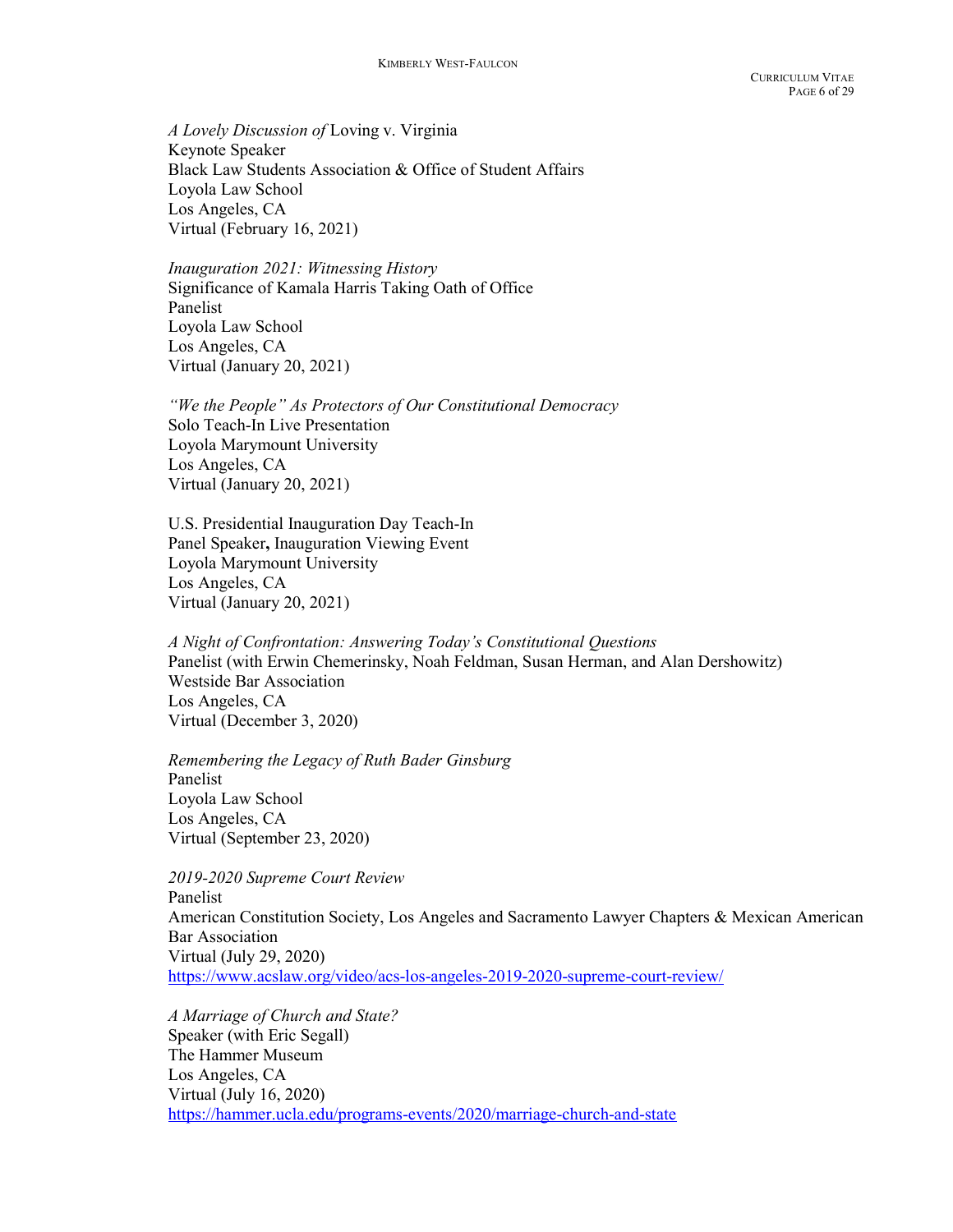A Lovely Discussion of Loving v. Virginia Keynote Speaker Black Law Students Association & Office of Student Affairs Loyola Law School Los Angeles, CA Virtual (February 16, 2021)

Inauguration 2021: Witnessing History Significance of Kamala Harris Taking Oath of Office Panelist Loyola Law School Los Angeles, CA Virtual (January 20, 2021)

 "We the People" As Protectors of Our Constitutional Democracy Solo Teach-In Live Presentation Loyola Marymount University Los Angeles, CA Virtual (January 20, 2021)

U.S. Presidential Inauguration Day Teach-In Panel Speaker, Inauguration Viewing Event Loyola Marymount University Los Angeles, CA Virtual (January 20, 2021)

 A Night of Confrontation: Answering Today's Constitutional Questions Panelist (with Erwin Chemerinsky, Noah Feldman, Susan Herman, and Alan Dershowitz) Westside Bar Association Los Angeles, CA Virtual (December 3, 2020)

 Remembering the Legacy of Ruth Bader Ginsburg Panelist Loyola Law School Los Angeles, CA Virtual (September 23, 2020)

 2019-2020 Supreme Court Review Panelist American Constitution Society, Los Angeles and Sacramento Lawyer Chapters & Mexican American Bar Association Virtual (July 29, 2020) https://www.acslaw.org/video/acs-los-angeles-2019-2020-supreme-court-review/

A Marriage of Church and State? Speaker (with Eric Segall) The Hammer Museum Los Angeles, CA Virtual (July 16, 2020) https://hammer.ucla.edu/programs-events/2020/marriage-church-and-state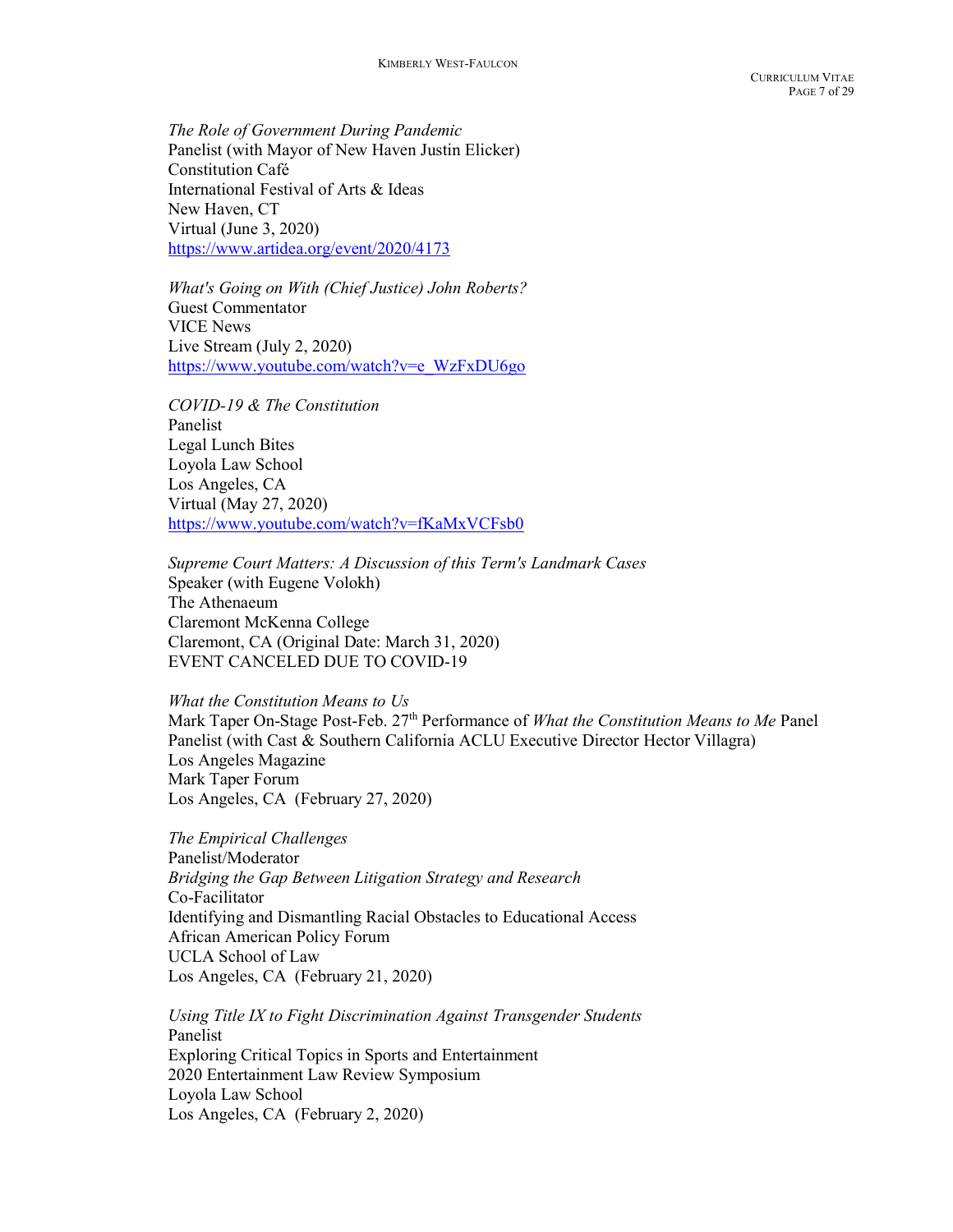The Role of Government During Pandemic Panelist (with Mayor of New Haven Justin Elicker) Constitution Café International Festival of Arts & Ideas New Haven, CT Virtual (June 3, 2020) https://www.artidea.org/event/2020/4173

What's Going on With (Chief Justice) John Roberts? Guest Commentator VICE News Live Stream (July 2, 2020) https://www.youtube.com/watch?v=e\_WzFxDU6go

COVID-19 & The Constitution Panelist Legal Lunch Bites Loyola Law School Los Angeles, CA Virtual (May 27, 2020) https://www.youtube.com/watch?v=fKaMxVCFsb0

Supreme Court Matters: A Discussion of this Term's Landmark Cases Speaker (with Eugene Volokh) The Athenaeum Claremont McKenna College Claremont, CA (Original Date: March 31, 2020) EVENT CANCELED DUE TO COVID-19

What the Constitution Means to Us

Mark Taper On-Stage Post-Feb. 27<sup>th</sup> Performance of *What the Constitution Means to Me* Panel Panelist (with Cast & Southern California ACLU Executive Director Hector Villagra) Los Angeles Magazine Mark Taper Forum Los Angeles, CA (February 27, 2020)

The Empirical Challenges Panelist/Moderator Bridging the Gap Between Litigation Strategy and Research Co-Facilitator Identifying and Dismantling Racial Obstacles to Educational Access African American Policy Forum UCLA School of Law Los Angeles, CA (February 21, 2020)

Using Title IX to Fight Discrimination Against Transgender Students Panelist Exploring Critical Topics in Sports and Entertainment 2020 Entertainment Law Review Symposium Loyola Law School Los Angeles, CA (February 2, 2020)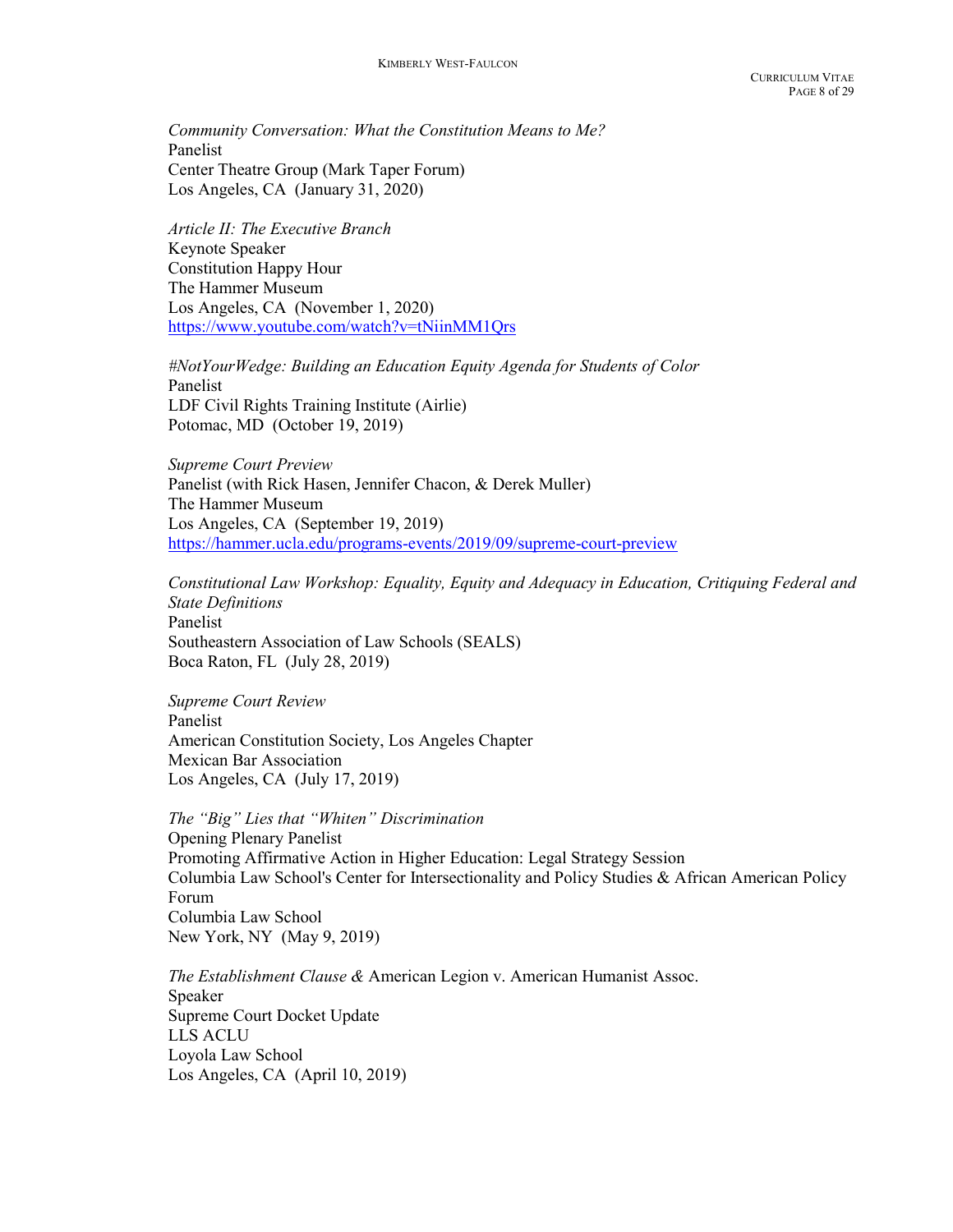Community Conversation: What the Constitution Means to Me? Panelist Center Theatre Group (Mark Taper Forum) Los Angeles, CA (January 31, 2020)

Article II: The Executive Branch Keynote Speaker Constitution Happy Hour The Hammer Museum Los Angeles, CA (November 1, 2020) https://www.youtube.com/watch?v=tNiinMM1Qrs

#NotYourWedge: Building an Education Equity Agenda for Students of Color Panelist LDF Civil Rights Training Institute (Airlie) Potomac, MD (October 19, 2019)

Supreme Court Preview Panelist (with Rick Hasen, Jennifer Chacon, & Derek Muller) The Hammer Museum Los Angeles, CA (September 19, 2019) https://hammer.ucla.edu/programs-events/2019/09/supreme-court-preview

Constitutional Law Workshop: Equality, Equity and Adequacy in Education, Critiquing Federal and State Definitions Panelist Southeastern Association of Law Schools (SEALS) Boca Raton, FL (July 28, 2019)

Supreme Court Review Panelist American Constitution Society, Los Angeles Chapter Mexican Bar Association Los Angeles, CA (July 17, 2019)

The "Big" Lies that "Whiten" Discrimination Opening Plenary Panelist Promoting Affirmative Action in Higher Education: Legal Strategy Session Columbia Law School's Center for Intersectionality and Policy Studies & African American Policy Forum Columbia Law School New York, NY (May 9, 2019)

The Establishment Clause & American Legion v. American Humanist Assoc. Speaker Supreme Court Docket Update LLS ACLU Loyola Law School Los Angeles, CA (April 10, 2019)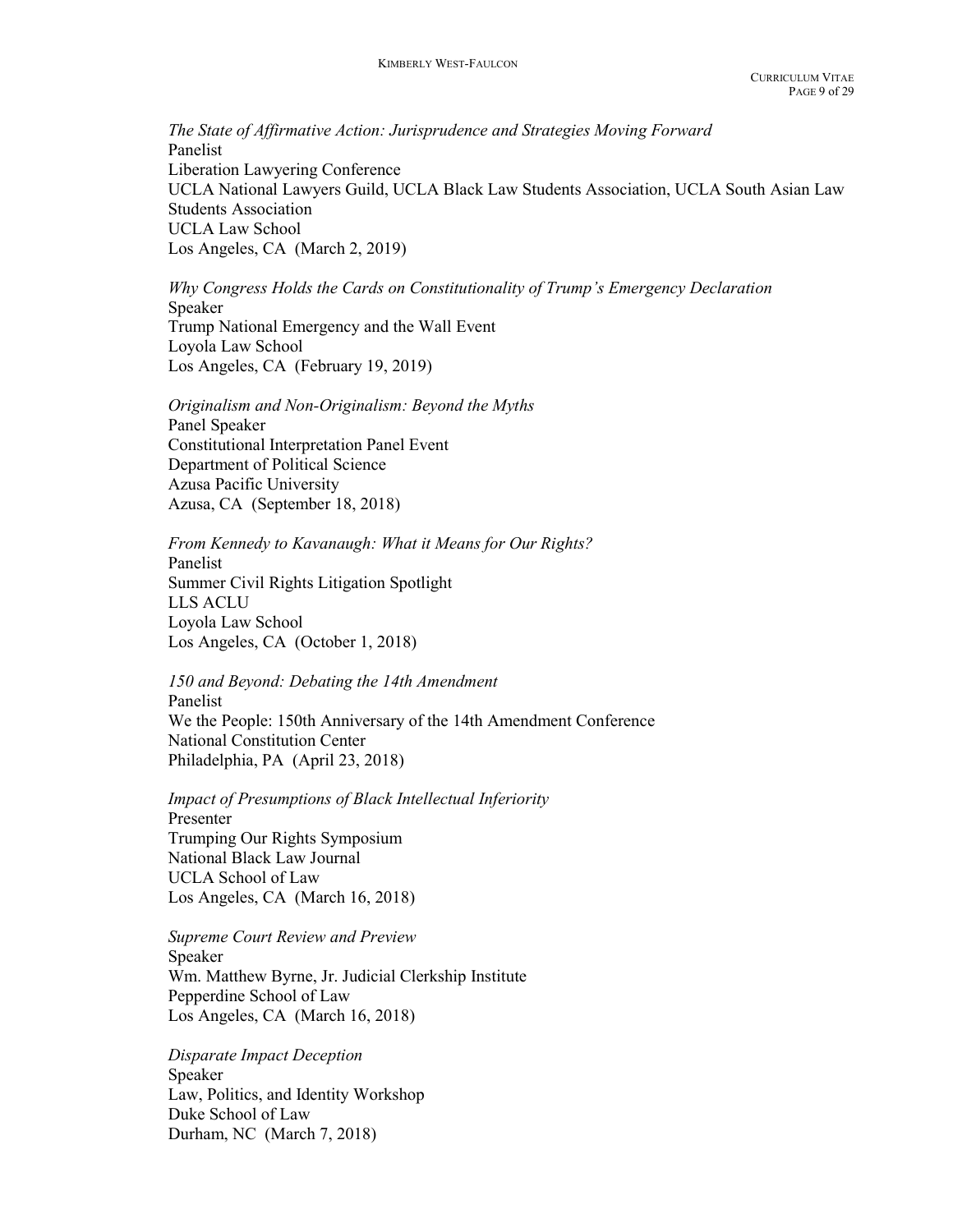The State of Affirmative Action: Jurisprudence and Strategies Moving Forward Panelist Liberation Lawyering Conference UCLA National Lawyers Guild, UCLA Black Law Students Association, UCLA South Asian Law Students Association UCLA Law School Los Angeles, CA (March 2, 2019)

Why Congress Holds the Cards on Constitutionality of Trump's Emergency Declaration Speaker Trump National Emergency and the Wall Event Loyola Law School Los Angeles, CA (February 19, 2019)

Originalism and Non-Originalism: Beyond the Myths Panel Speaker Constitutional Interpretation Panel Event Department of Political Science Azusa Pacific University Azusa, CA (September 18, 2018)

From Kennedy to Kavanaugh: What it Means for Our Rights? Panelist Summer Civil Rights Litigation Spotlight LLS ACLU Loyola Law School Los Angeles, CA (October 1, 2018)

150 and Beyond: Debating the 14th Amendment Panelist We the People: 150th Anniversary of the 14th Amendment Conference National Constitution Center Philadelphia, PA (April 23, 2018)

Impact of Presumptions of Black Intellectual Inferiority Presenter Trumping Our Rights Symposium National Black Law Journal UCLA School of Law Los Angeles, CA (March 16, 2018)

Supreme Court Review and Preview Speaker Wm. Matthew Byrne, Jr. Judicial Clerkship Institute Pepperdine School of Law Los Angeles, CA (March 16, 2018)

Disparate Impact Deception Speaker Law, Politics, and Identity Workshop Duke School of Law Durham, NC (March 7, 2018)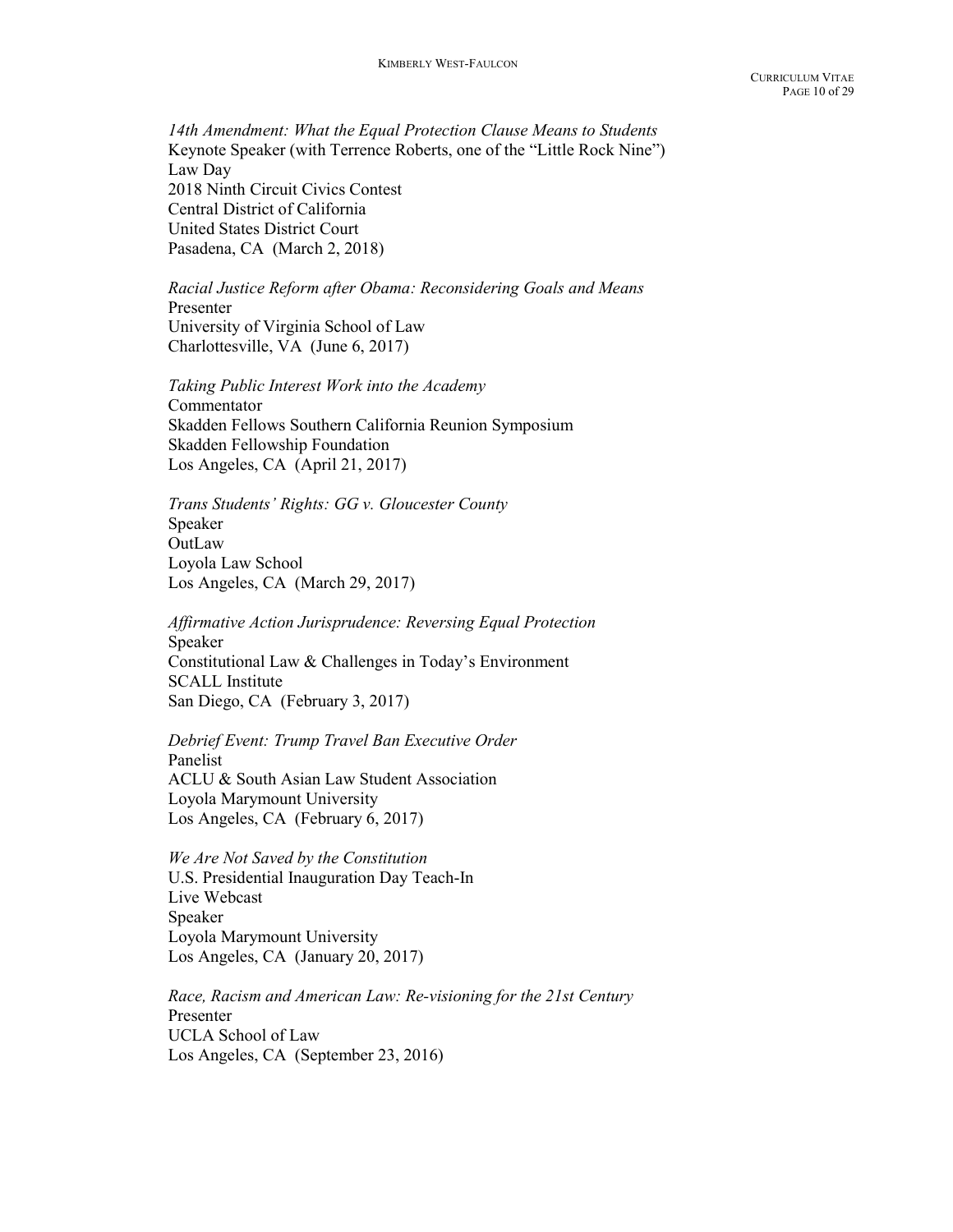14th Amendment: What the Equal Protection Clause Means to Students Keynote Speaker (with Terrence Roberts, one of the "Little Rock Nine") Law Day 2018 Ninth Circuit Civics Contest Central District of California United States District Court Pasadena, CA (March 2, 2018)

Racial Justice Reform after Obama: Reconsidering Goals and Means Presenter University of Virginia School of Law Charlottesville, VA (June 6, 2017)

 Taking Public Interest Work into the Academy Commentator Skadden Fellows Southern California Reunion Symposium Skadden Fellowship Foundation Los Angeles, CA (April 21, 2017)

Trans Students' Rights: GG v. Gloucester County Speaker **OutLaw** Loyola Law School Los Angeles, CA (March 29, 2017)

Affirmative Action Jurisprudence: Reversing Equal Protection Speaker Constitutional Law & Challenges in Today's Environment SCALL Institute San Diego, CA (February 3, 2017)

Debrief Event: Trump Travel Ban Executive Order Panelist ACLU & South Asian Law Student Association Loyola Marymount University Los Angeles, CA (February 6, 2017)

We Are Not Saved by the Constitution U.S. Presidential Inauguration Day Teach-In Live Webcast Speaker Loyola Marymount University Los Angeles, CA (January 20, 2017)

 Race, Racism and American Law: Re-visioning for the 21st Century Presenter UCLA School of Law Los Angeles, CA (September 23, 2016)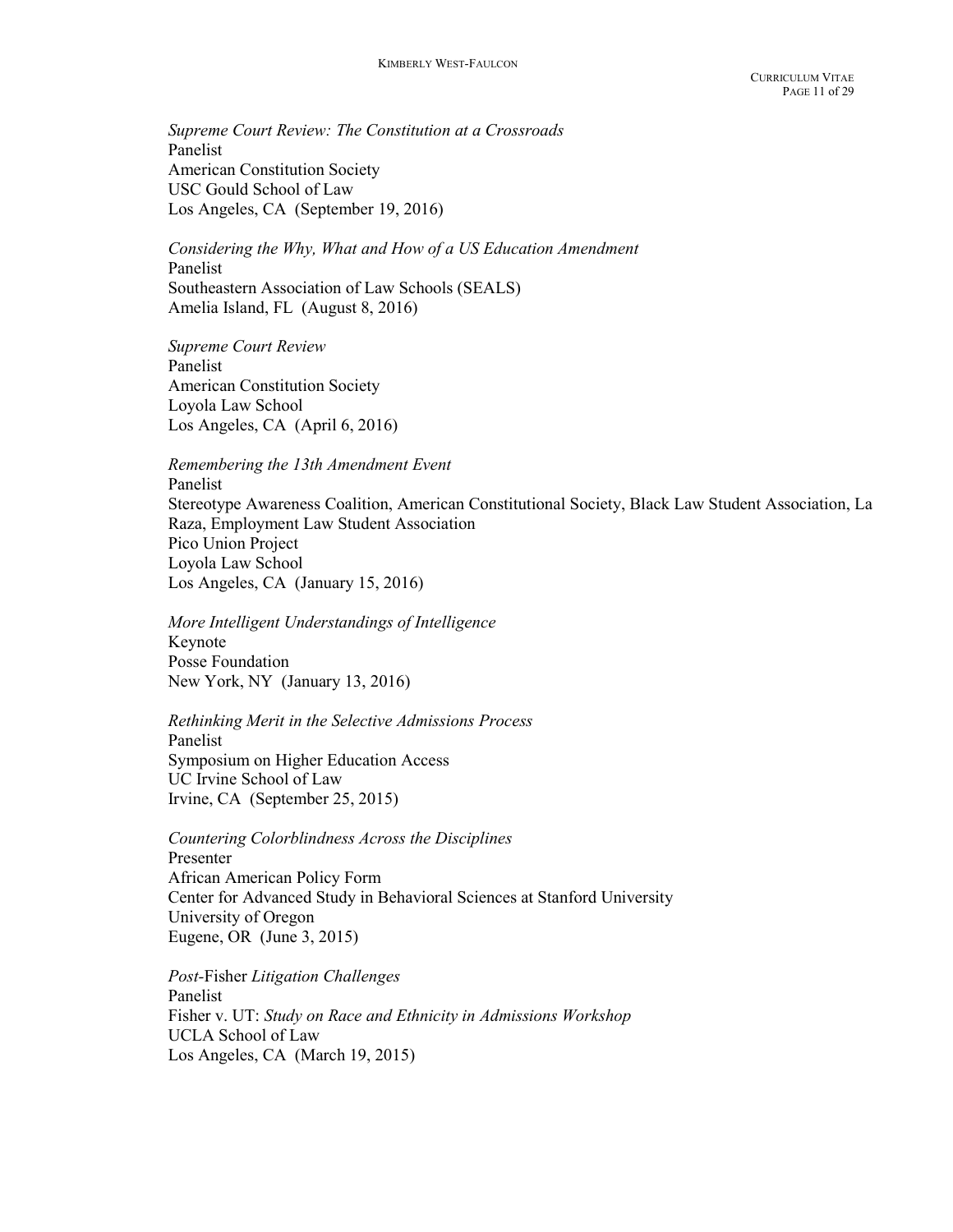Supreme Court Review: The Constitution at a Crossroads Panelist American Constitution Society USC Gould School of Law Los Angeles, CA (September 19, 2016)

 Considering the Why, What and How of a US Education Amendment Panelist Southeastern Association of Law Schools (SEALS) Amelia Island, FL (August 8, 2016)

Supreme Court Review Panelist American Constitution Society Loyola Law School Los Angeles, CA (April 6, 2016)

Remembering the 13th Amendment Event

Panelist Stereotype Awareness Coalition, American Constitutional Society, Black Law Student Association, La Raza, Employment Law Student Association Pico Union Project Loyola Law School Los Angeles, CA (January 15, 2016)

More Intelligent Understandings of Intelligence Keynote Posse Foundation New York, NY (January 13, 2016)

Rethinking Merit in the Selective Admissions Process Panelist Symposium on Higher Education Access UC Irvine School of Law Irvine, CA (September 25, 2015)

Countering Colorblindness Across the Disciplines Presenter African American Policy Form Center for Advanced Study in Behavioral Sciences at Stanford University University of Oregon Eugene, OR (June 3, 2015)

Post-Fisher Litigation Challenges Panelist Fisher v. UT: Study on Race and Ethnicity in Admissions Workshop UCLA School of Law Los Angeles, CA (March 19, 2015)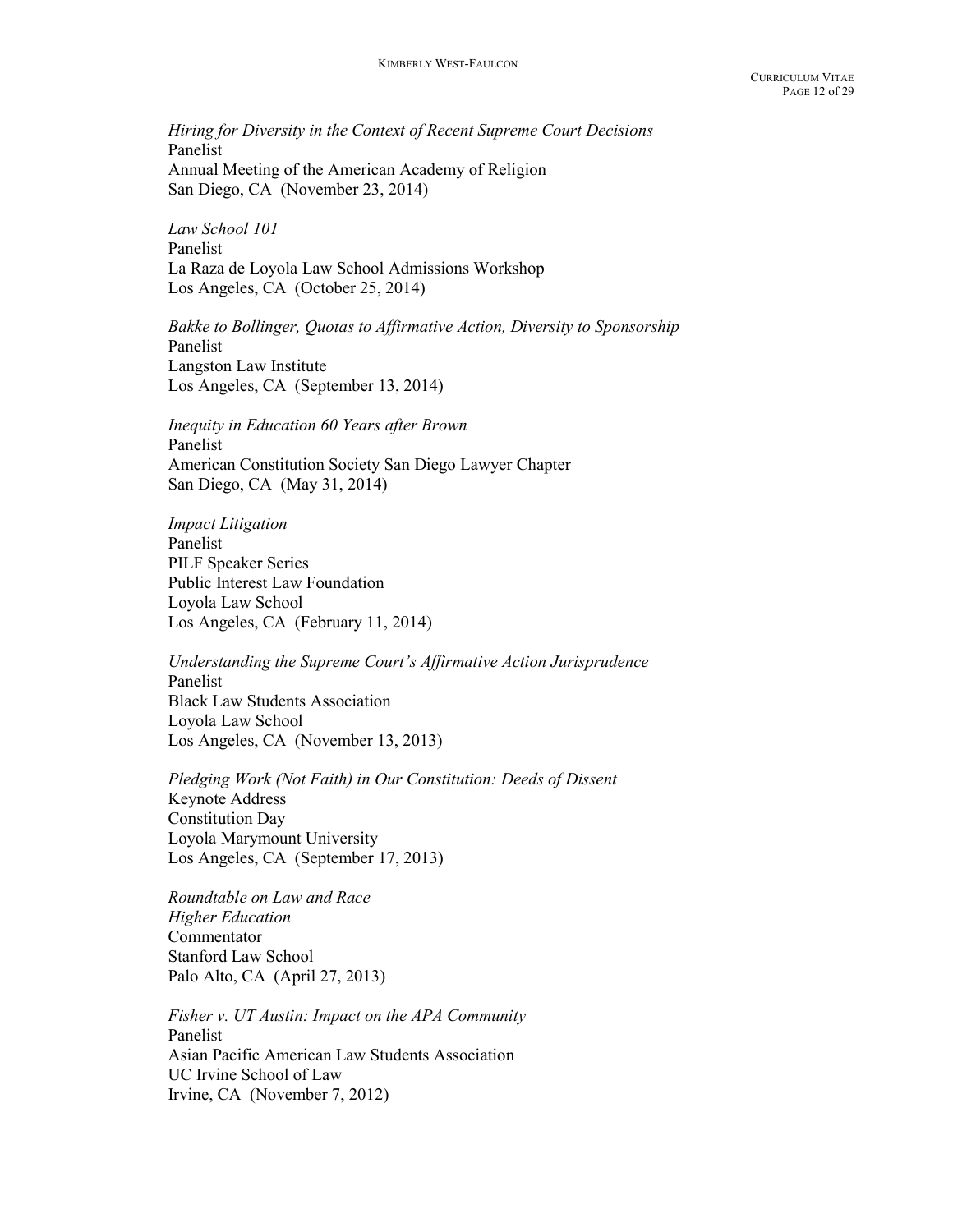Hiring for Diversity in the Context of Recent Supreme Court Decisions Panelist Annual Meeting of the American Academy of Religion San Diego, CA (November 23, 2014)

Law School 101 Panelist La Raza de Loyola Law School Admissions Workshop Los Angeles, CA (October 25, 2014)

Bakke to Bollinger, Quotas to Affirmative Action, Diversity to Sponsorship Panelist Langston Law Institute Los Angeles, CA (September 13, 2014)

Inequity in Education 60 Years after Brown Panelist American Constitution Society San Diego Lawyer Chapter San Diego, CA (May 31, 2014)

Impact Litigation Panelist PILF Speaker Series Public Interest Law Foundation Loyola Law School Los Angeles, CA (February 11, 2014)

Understanding the Supreme Court's Affirmative Action Jurisprudence Panelist Black Law Students Association Loyola Law School Los Angeles, CA (November 13, 2013)

Pledging Work (Not Faith) in Our Constitution: Deeds of Dissent Keynote Address Constitution Day Loyola Marymount University Los Angeles, CA (September 17, 2013)

Roundtable on Law and Race Higher Education Commentator Stanford Law School Palo Alto, CA (April 27, 2013)

Fisher v. UT Austin: Impact on the APA Community Panelist Asian Pacific American Law Students Association UC Irvine School of Law Irvine, CA (November 7, 2012)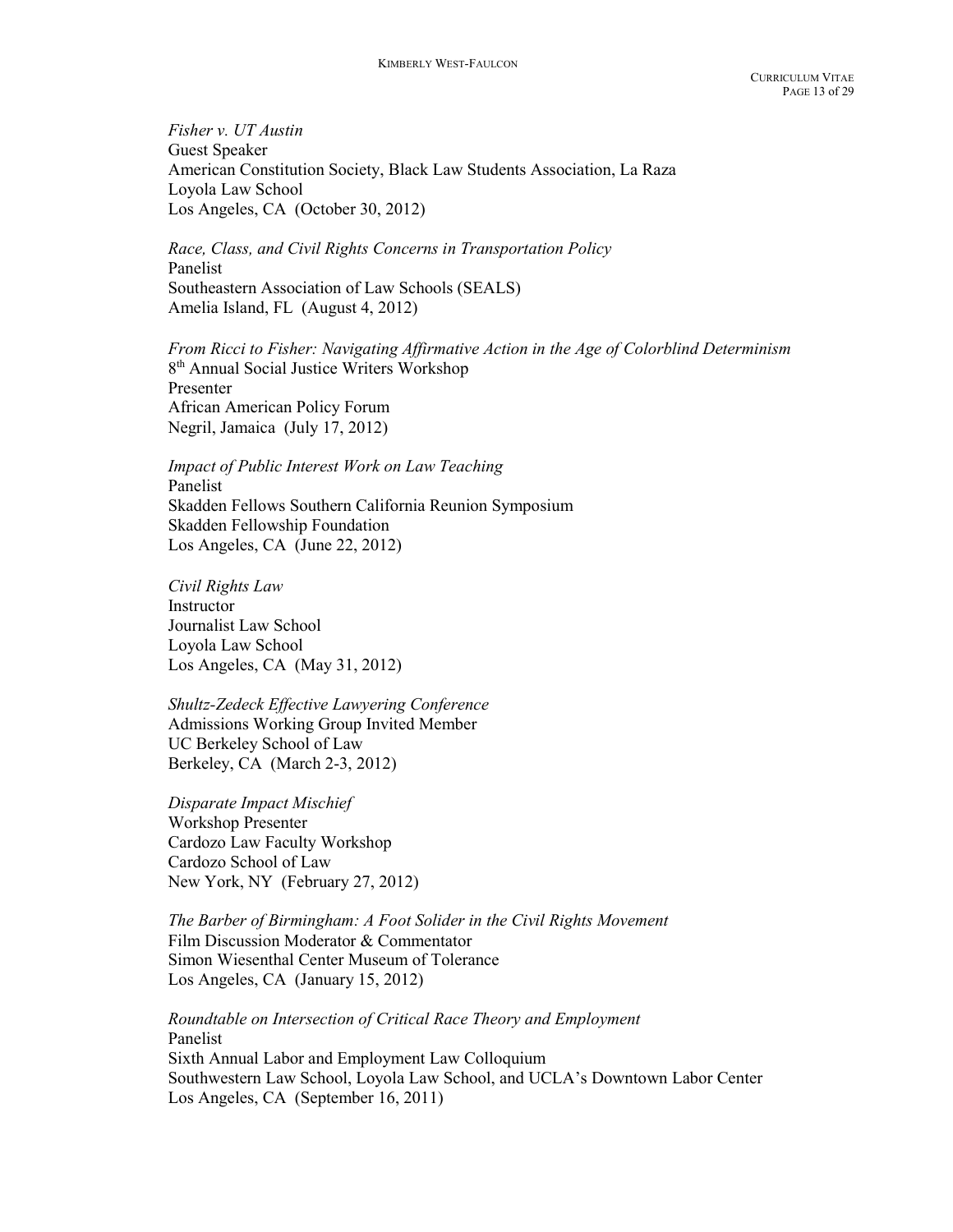Fisher v. UT Austin Guest Speaker American Constitution Society, Black Law Students Association, La Raza Loyola Law School Los Angeles, CA (October 30, 2012)

 Race, Class, and Civil Rights Concerns in Transportation Policy Panelist Southeastern Association of Law Schools (SEALS) Amelia Island, FL (August 4, 2012)

From Ricci to Fisher: Navigating Affirmative Action in the Age of Colorblind Determinism 8<sup>th</sup> Annual Social Justice Writers Workshop Presenter African American Policy Forum Negril, Jamaica (July 17, 2012)

 Impact of Public Interest Work on Law Teaching Panelist Skadden Fellows Southern California Reunion Symposium Skadden Fellowship Foundation Los Angeles, CA (June 22, 2012)

 Civil Rights Law **Instructor** Journalist Law School Loyola Law School Los Angeles, CA (May 31, 2012)

Shultz-Zedeck Effective Lawyering Conference Admissions Working Group Invited Member UC Berkeley School of Law Berkeley, CA (March 2-3, 2012)

Disparate Impact Mischief Workshop Presenter Cardozo Law Faculty Workshop Cardozo School of Law New York, NY (February 27, 2012)

The Barber of Birmingham: A Foot Solider in the Civil Rights Movement Film Discussion Moderator & Commentator Simon Wiesenthal Center Museum of Tolerance Los Angeles, CA (January 15, 2012)

 Roundtable on Intersection of Critical Race Theory and Employment Panelist Sixth Annual Labor and Employment Law Colloquium Southwestern Law School, Loyola Law School, and UCLA's Downtown Labor Center Los Angeles, CA (September 16, 2011)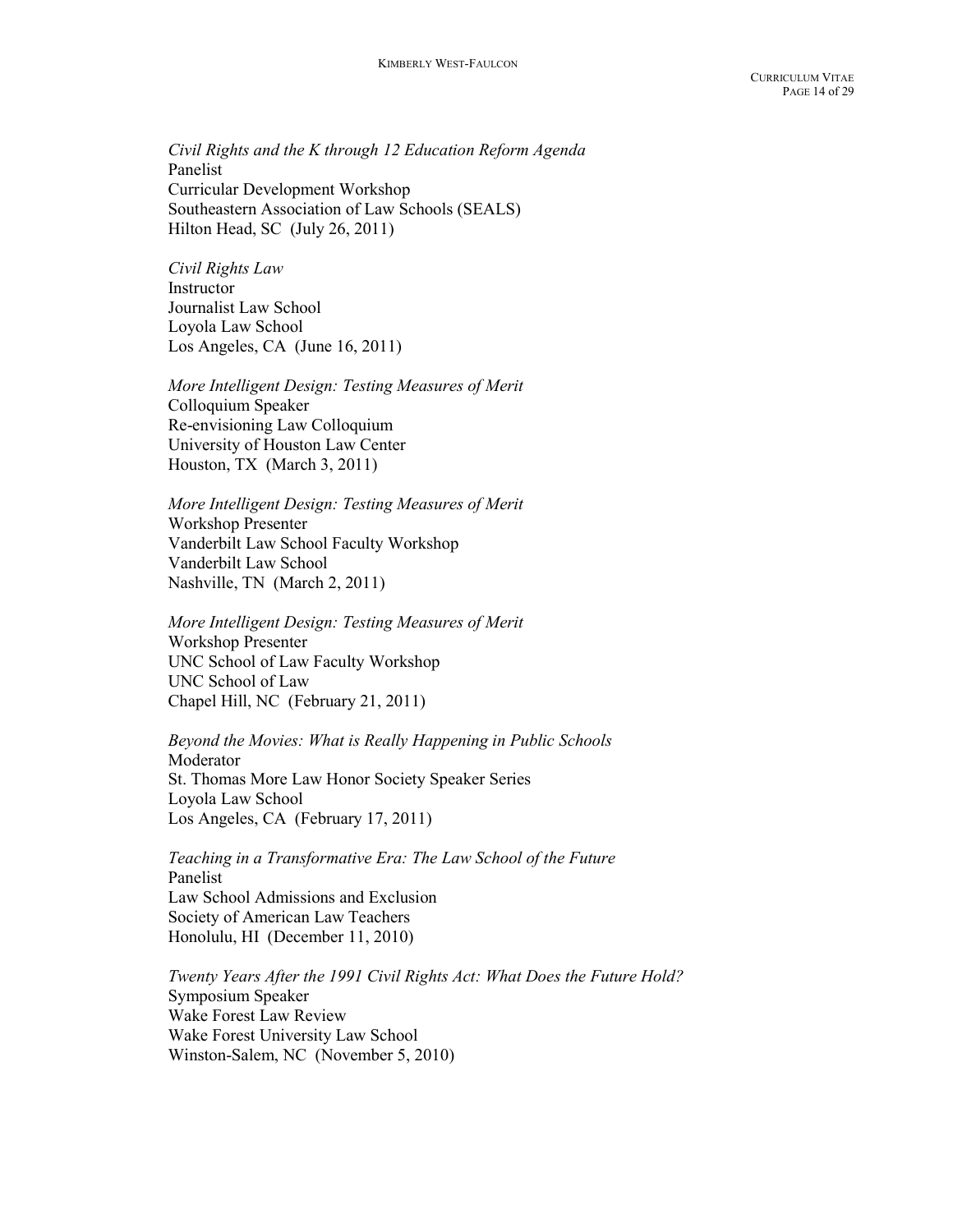Civil Rights and the K through 12 Education Reform Agenda Panelist Curricular Development Workshop Southeastern Association of Law Schools (SEALS) Hilton Head, SC (July 26, 2011)

Civil Rights Law **Instructor** Journalist Law School Loyola Law School Los Angeles, CA (June 16, 2011)

More Intelligent Design: Testing Measures of Merit Colloquium Speaker Re-envisioning Law Colloquium University of Houston Law Center Houston, TX (March 3, 2011)

More Intelligent Design: Testing Measures of Merit Workshop Presenter Vanderbilt Law School Faculty Workshop Vanderbilt Law School Nashville, TN (March 2, 2011)

More Intelligent Design: Testing Measures of Merit Workshop Presenter UNC School of Law Faculty Workshop UNC School of Law Chapel Hill, NC (February 21, 2011)

 Beyond the Movies: What is Really Happening in Public Schools Moderator St. Thomas More Law Honor Society Speaker Series Loyola Law School Los Angeles, CA (February 17, 2011)

 Teaching in a Transformative Era: The Law School of the Future Panelist Law School Admissions and Exclusion Society of American Law Teachers Honolulu, HI (December 11, 2010)

Twenty Years After the 1991 Civil Rights Act: What Does the Future Hold? Symposium Speaker Wake Forest Law Review Wake Forest University Law School Winston-Salem, NC (November 5, 2010)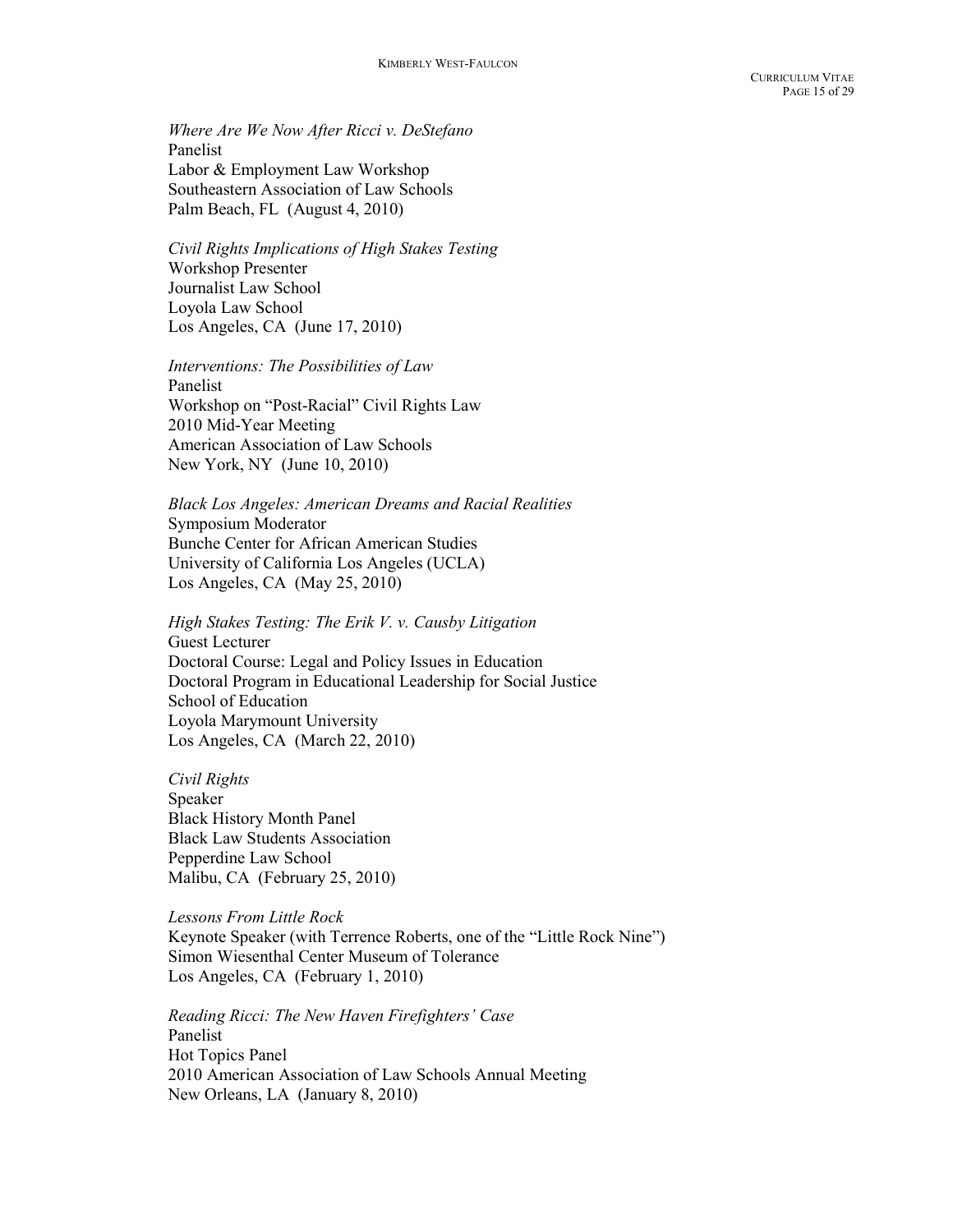Where Are We Now After Ricci v. DeStefano Panelist Labor & Employment Law Workshop Southeastern Association of Law Schools Palm Beach, FL (August 4, 2010)

Civil Rights Implications of High Stakes Testing Workshop Presenter Journalist Law School Loyola Law School Los Angeles, CA (June 17, 2010)

Interventions: The Possibilities of Law Panelist Workshop on "Post-Racial" Civil Rights Law 2010 Mid-Year Meeting American Association of Law Schools New York, NY (June 10, 2010)

Black Los Angeles: American Dreams and Racial Realities Symposium Moderator Bunche Center for African American Studies University of California Los Angeles (UCLA) Los Angeles, CA (May 25, 2010)

High Stakes Testing: The Erik V. v. Causby Litigation Guest Lecturer Doctoral Course: Legal and Policy Issues in Education Doctoral Program in Educational Leadership for Social Justice School of Education Loyola Marymount University Los Angeles, CA (March 22, 2010)

Civil Rights Speaker Black History Month Panel Black Law Students Association Pepperdine Law School Malibu, CA (February 25, 2010)

Lessons From Little Rock Keynote Speaker (with Terrence Roberts, one of the "Little Rock Nine") Simon Wiesenthal Center Museum of Tolerance Los Angeles, CA (February 1, 2010)

Reading Ricci: The New Haven Firefighters' Case Panelist Hot Topics Panel 2010 American Association of Law Schools Annual Meeting New Orleans, LA (January 8, 2010)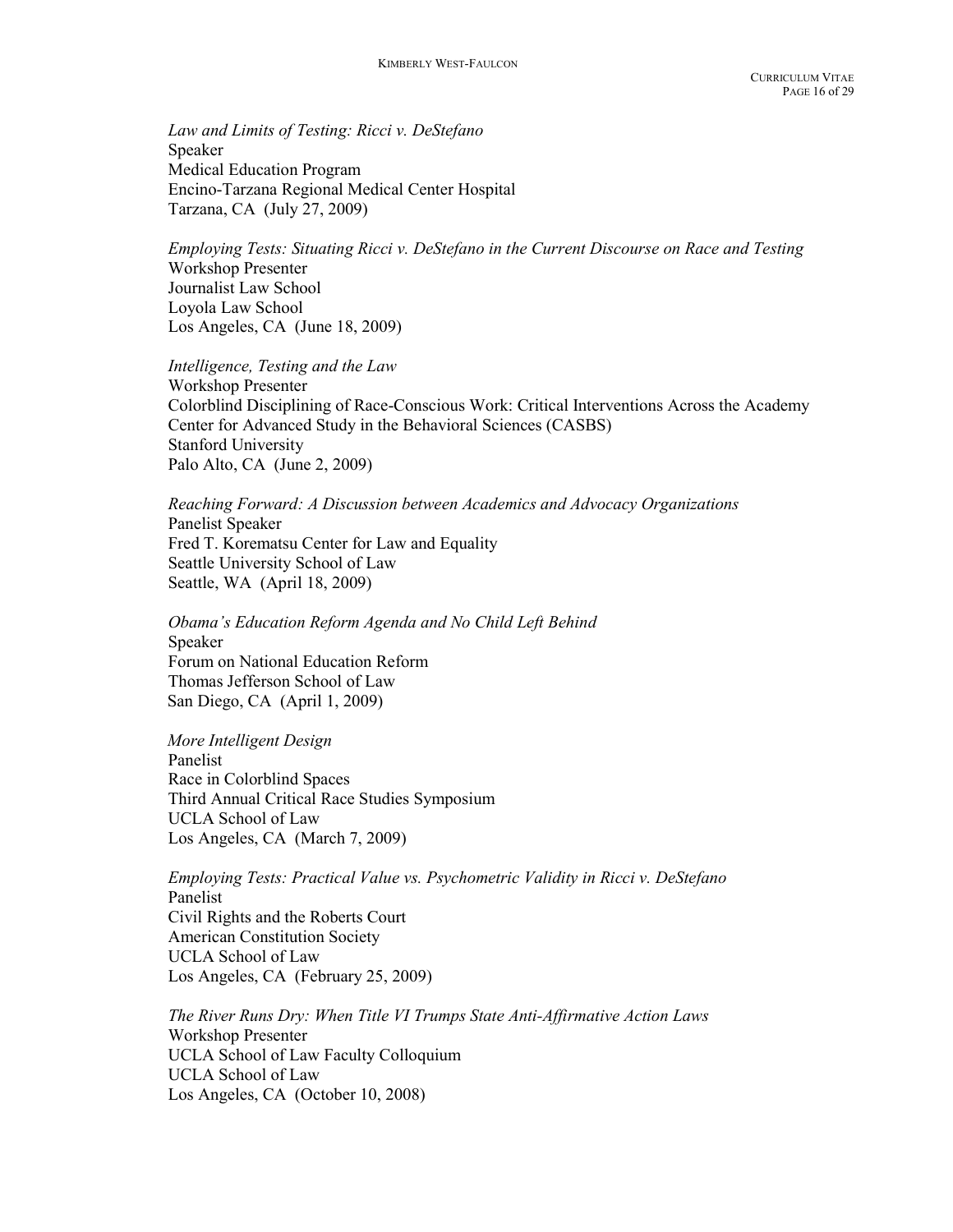Law and Limits of Testing: Ricci v. DeStefano Speaker Medical Education Program Encino-Tarzana Regional Medical Center Hospital Tarzana, CA (July 27, 2009)

Employing Tests: Situating Ricci v. DeStefano in the Current Discourse on Race and Testing Workshop Presenter Journalist Law School Loyola Law School Los Angeles, CA (June 18, 2009)

Intelligence, Testing and the Law Workshop Presenter Colorblind Disciplining of Race-Conscious Work: Critical Interventions Across the Academy Center for Advanced Study in the Behavioral Sciences (CASBS) Stanford University Palo Alto, CA (June 2, 2009)

Reaching Forward: A Discussion between Academics and Advocacy Organizations Panelist Speaker Fred T. Korematsu Center for Law and Equality Seattle University School of Law Seattle, WA (April 18, 2009)

 Obama's Education Reform Agenda and No Child Left Behind Speaker Forum on National Education Reform Thomas Jefferson School of Law San Diego, CA (April 1, 2009)

More Intelligent Design Panelist Race in Colorblind Spaces Third Annual Critical Race Studies Symposium UCLA School of Law Los Angeles, CA (March 7, 2009)

Employing Tests: Practical Value vs. Psychometric Validity in Ricci v. DeStefano Panelist Civil Rights and the Roberts Court American Constitution Society UCLA School of Law Los Angeles, CA (February 25, 2009)

The River Runs Dry: When Title VI Trumps State Anti-Affirmative Action Laws Workshop Presenter UCLA School of Law Faculty Colloquium UCLA School of Law Los Angeles, CA (October 10, 2008)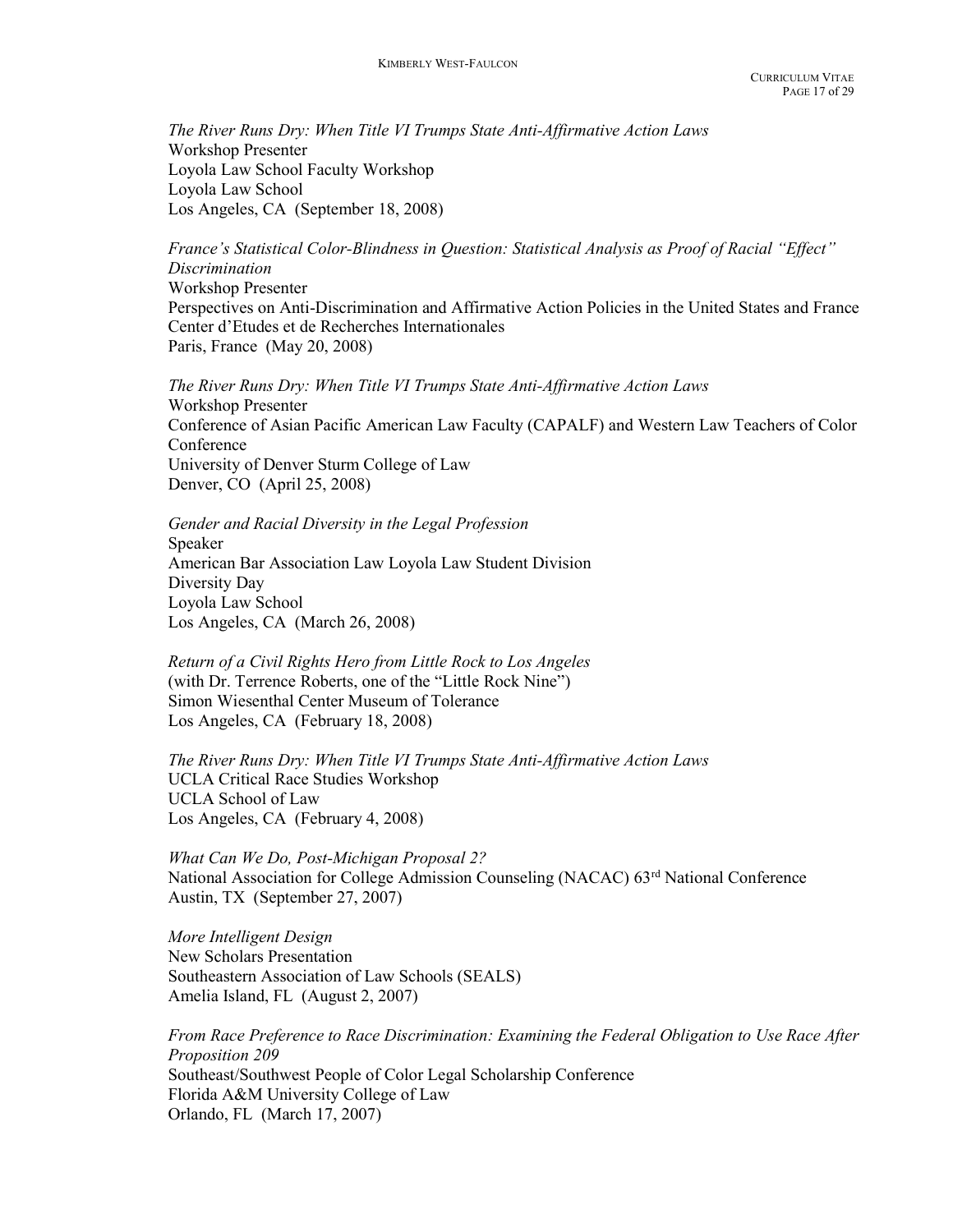The River Runs Dry: When Title VI Trumps State Anti-Affirmative Action Laws Workshop Presenter Loyola Law School Faculty Workshop Loyola Law School Los Angeles, CA (September 18, 2008)

France's Statistical Color-Blindness in Question: Statistical Analysis as Proof of Racial "Effect" Discrimination Workshop Presenter Perspectives on Anti-Discrimination and Affirmative Action Policies in the United States and France Center d'Etudes et de Recherches Internationales Paris, France (May 20, 2008)

The River Runs Dry: When Title VI Trumps State Anti-Affirmative Action Laws Workshop Presenter Conference of Asian Pacific American Law Faculty (CAPALF) and Western Law Teachers of Color Conference University of Denver Sturm College of Law Denver, CO (April 25, 2008)

 Gender and Racial Diversity in the Legal Profession Speaker American Bar Association Law Loyola Law Student Division Diversity Day Loyola Law School Los Angeles, CA (March 26, 2008)

 Return of a Civil Rights Hero from Little Rock to Los Angeles (with Dr. Terrence Roberts, one of the "Little Rock Nine") Simon Wiesenthal Center Museum of Tolerance Los Angeles, CA (February 18, 2008)

The River Runs Dry: When Title VI Trumps State Anti-Affirmative Action Laws UCLA Critical Race Studies Workshop UCLA School of Law Los Angeles, CA (February 4, 2008)

What Can We Do, Post-Michigan Proposal 2? National Association for College Admission Counseling (NACAC) 63rd National Conference Austin, TX (September 27, 2007)

More Intelligent Design New Scholars Presentation Southeastern Association of Law Schools (SEALS) Amelia Island, FL (August 2, 2007)

From Race Preference to Race Discrimination: Examining the Federal Obligation to Use Race After Proposition 209 Southeast/Southwest People of Color Legal Scholarship Conference Florida A&M University College of Law Orlando, FL (March 17, 2007)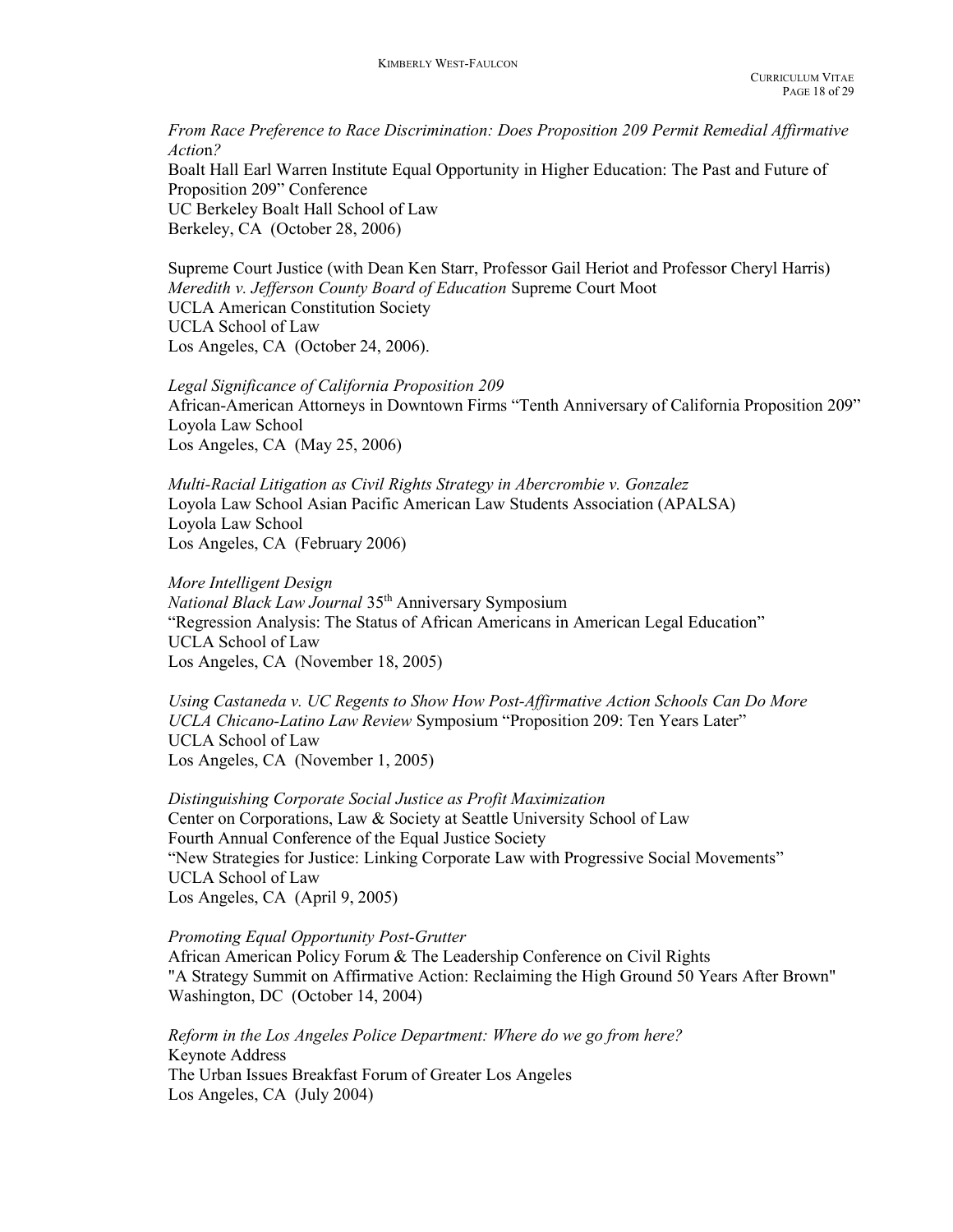From Race Preference to Race Discrimination: Does Proposition 209 Permit Remedial Affirmative Action? Boalt Hall Earl Warren Institute Equal Opportunity in Higher Education: The Past and Future of Proposition 209" Conference UC Berkeley Boalt Hall School of Law Berkeley, CA (October 28, 2006)

Supreme Court Justice (with Dean Ken Starr, Professor Gail Heriot and Professor Cheryl Harris) Meredith v. Jefferson County Board of Education Supreme Court Moot UCLA American Constitution Society UCLA School of Law Los Angeles, CA (October 24, 2006).

 Legal Significance of California Proposition 209 African-American Attorneys in Downtown Firms "Tenth Anniversary of California Proposition 209" Loyola Law School Los Angeles, CA (May 25, 2006)

Multi-Racial Litigation as Civil Rights Strategy in Abercrombie v. Gonzalez Loyola Law School Asian Pacific American Law Students Association (APALSA) Loyola Law School Los Angeles, CA (February 2006)

More Intelligent Design National Black Law Journal 35<sup>th</sup> Anniversary Symposium "Regression Analysis: The Status of African Americans in American Legal Education" UCLA School of Law Los Angeles, CA (November 18, 2005)

Using Castaneda v. UC Regents to Show How Post-Affirmative Action Schools Can Do More UCLA Chicano-Latino Law Review Symposium "Proposition 209: Ten Years Later" UCLA School of Law Los Angeles, CA (November 1, 2005)

Distinguishing Corporate Social Justice as Profit Maximization Center on Corporations, Law & Society at Seattle University School of Law Fourth Annual Conference of the Equal Justice Society "New Strategies for Justice: Linking Corporate Law with Progressive Social Movements" UCLA School of Law Los Angeles, CA (April 9, 2005)

Promoting Equal Opportunity Post-Grutter

African American Policy Forum & The Leadership Conference on Civil Rights "A Strategy Summit on Affirmative Action: Reclaiming the High Ground 50 Years After Brown" Washington, DC (October 14, 2004)

 Reform in the Los Angeles Police Department: Where do we go from here? Keynote Address The Urban Issues Breakfast Forum of Greater Los Angeles Los Angeles, CA (July 2004)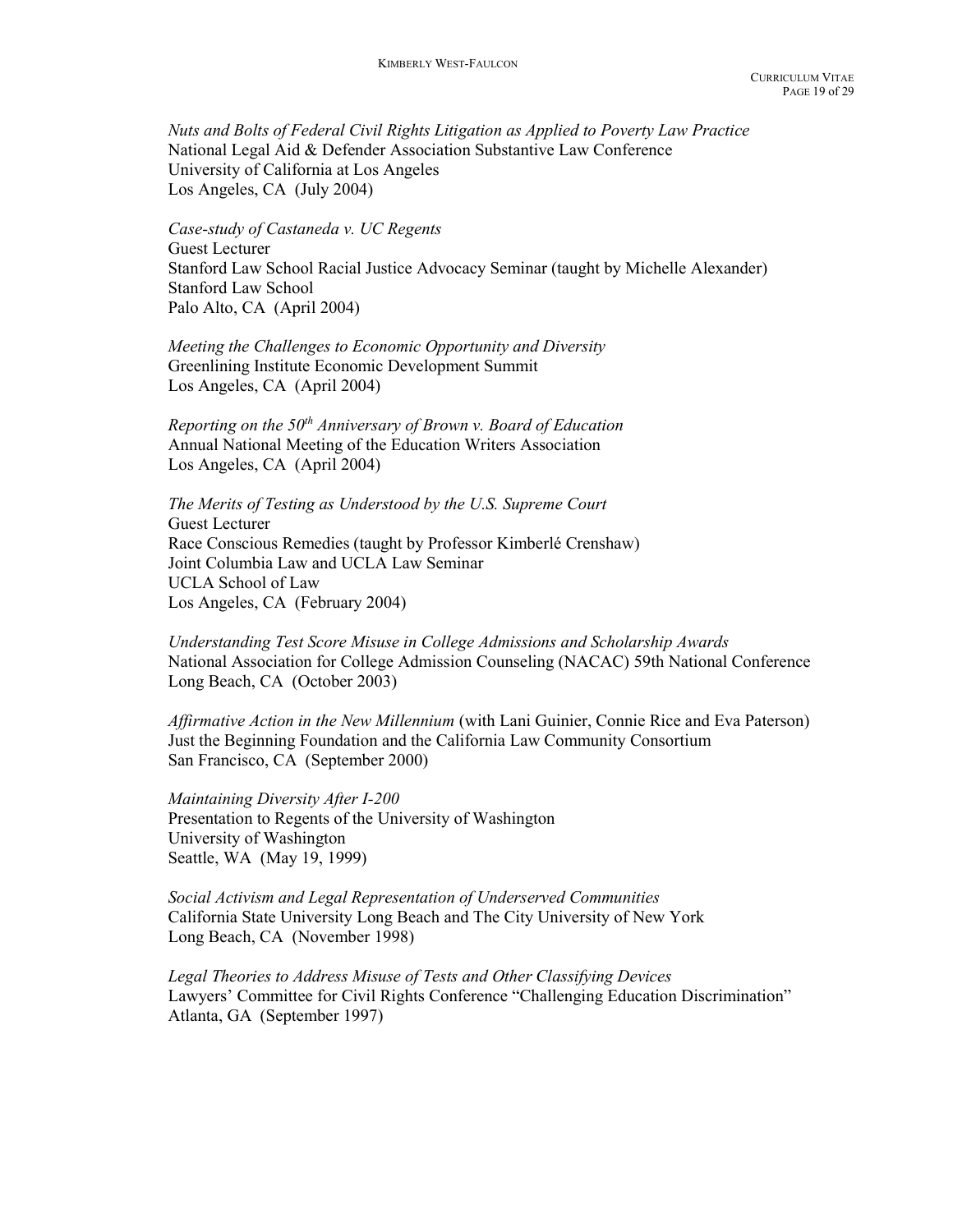Nuts and Bolts of Federal Civil Rights Litigation as Applied to Poverty Law Practice National Legal Aid & Defender Association Substantive Law Conference University of California at Los Angeles Los Angeles, CA (July 2004)

Case-study of Castaneda v. UC Regents Guest Lecturer Stanford Law School Racial Justice Advocacy Seminar (taught by Michelle Alexander) Stanford Law School Palo Alto, CA (April 2004)

Meeting the Challenges to Economic Opportunity and Diversity Greenlining Institute Economic Development Summit Los Angeles, CA (April 2004)

Reporting on the  $50<sup>th</sup>$  Anniversary of Brown v. Board of Education Annual National Meeting of the Education Writers Association Los Angeles, CA (April 2004)

The Merits of Testing as Understood by the U.S. Supreme Court Guest Lecturer Race Conscious Remedies (taught by Professor Kimberlé Crenshaw) Joint Columbia Law and UCLA Law Seminar UCLA School of Law Los Angeles, CA (February 2004)

Understanding Test Score Misuse in College Admissions and Scholarship Awards National Association for College Admission Counseling (NACAC) 59th National Conference Long Beach, CA (October 2003)

Affirmative Action in the New Millennium (with Lani Guinier, Connie Rice and Eva Paterson) Just the Beginning Foundation and the California Law Community Consortium San Francisco, CA (September 2000)

 Maintaining Diversity After I-200 Presentation to Regents of the University of Washington University of Washington Seattle, WA (May 19, 1999)

Social Activism and Legal Representation of Underserved Communities California State University Long Beach and The City University of New York Long Beach, CA (November 1998)

Legal Theories to Address Misuse of Tests and Other Classifying Devices Lawyers' Committee for Civil Rights Conference "Challenging Education Discrimination" Atlanta, GA (September 1997)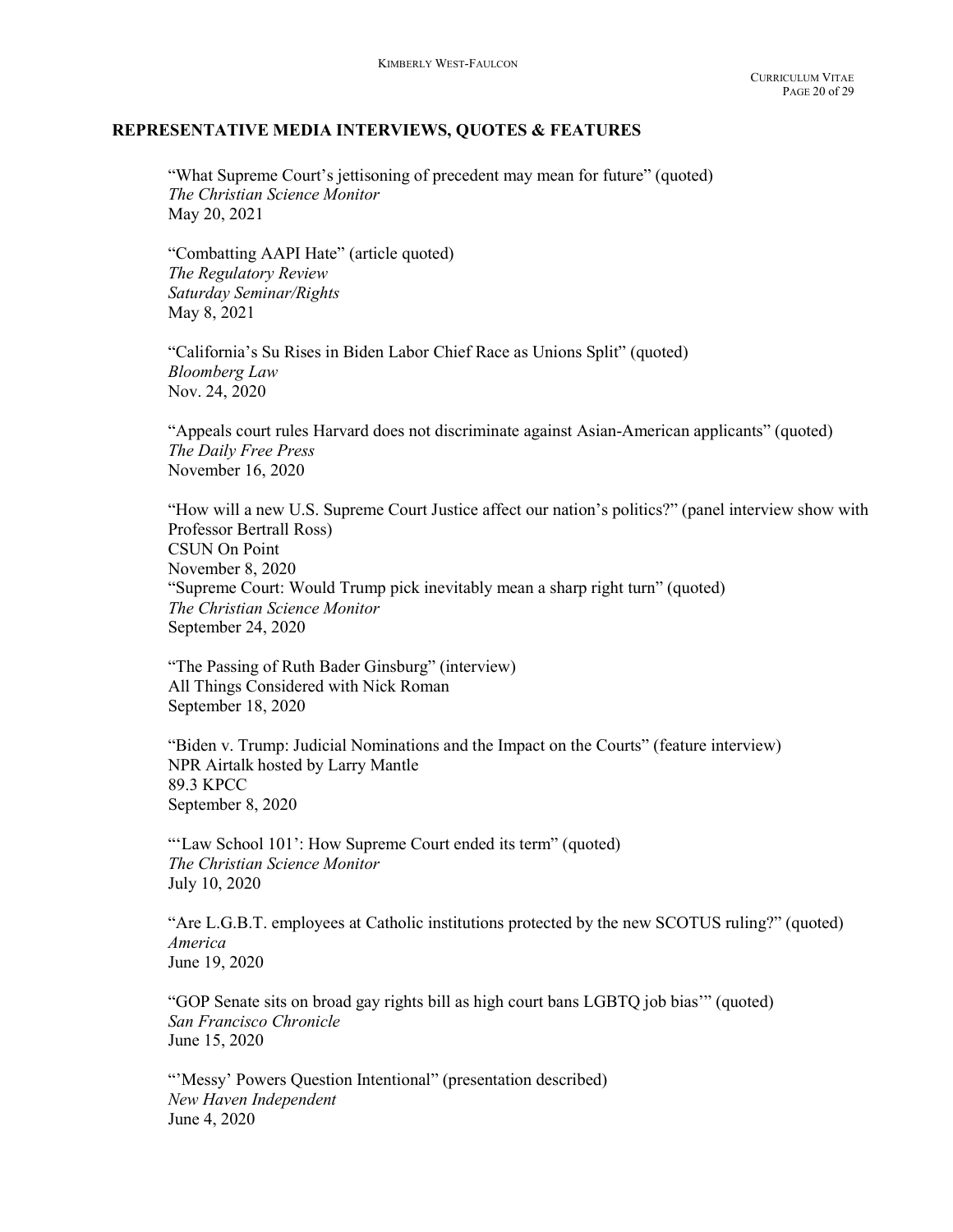#### REPRESENTATIVE MEDIA INTERVIEWS, QUOTES & FEATURES

"What Supreme Court's jettisoning of precedent may mean for future" (quoted) The Christian Science Monitor May 20, 2021

"Combatting AAPI Hate" (article quoted) The Regulatory Review Saturday Seminar/Rights May 8, 2021

"California's Su Rises in Biden Labor Chief Race as Unions Split" (quoted) Bloomberg Law Nov. 24, 2020

"Appeals court rules Harvard does not discriminate against Asian-American applicants" (quoted) The Daily Free Press November 16, 2020

"How will a new U.S. Supreme Court Justice affect our nation's politics?" (panel interview show with Professor Bertrall Ross) CSUN On Point November 8, 2020 "Supreme Court: Would Trump pick inevitably mean a sharp right turn" (quoted) The Christian Science Monitor September 24, 2020

"The Passing of Ruth Bader Ginsburg" (interview) All Things Considered with Nick Roman September 18, 2020

"Biden v. Trump: Judicial Nominations and the Impact on the Courts" (feature interview) NPR Airtalk hosted by Larry Mantle 89.3 KPCC September 8, 2020

"'Law School 101': How Supreme Court ended its term" (quoted) The Christian Science Monitor July 10, 2020

"Are L.G.B.T. employees at Catholic institutions protected by the new SCOTUS ruling?" (quoted) America June 19, 2020

"GOP Senate sits on broad gay rights bill as high court bans LGBTQ job bias'" (quoted) San Francisco Chronicle June 15, 2020

"'Messy' Powers Question Intentional" (presentation described) New Haven Independent June 4, 2020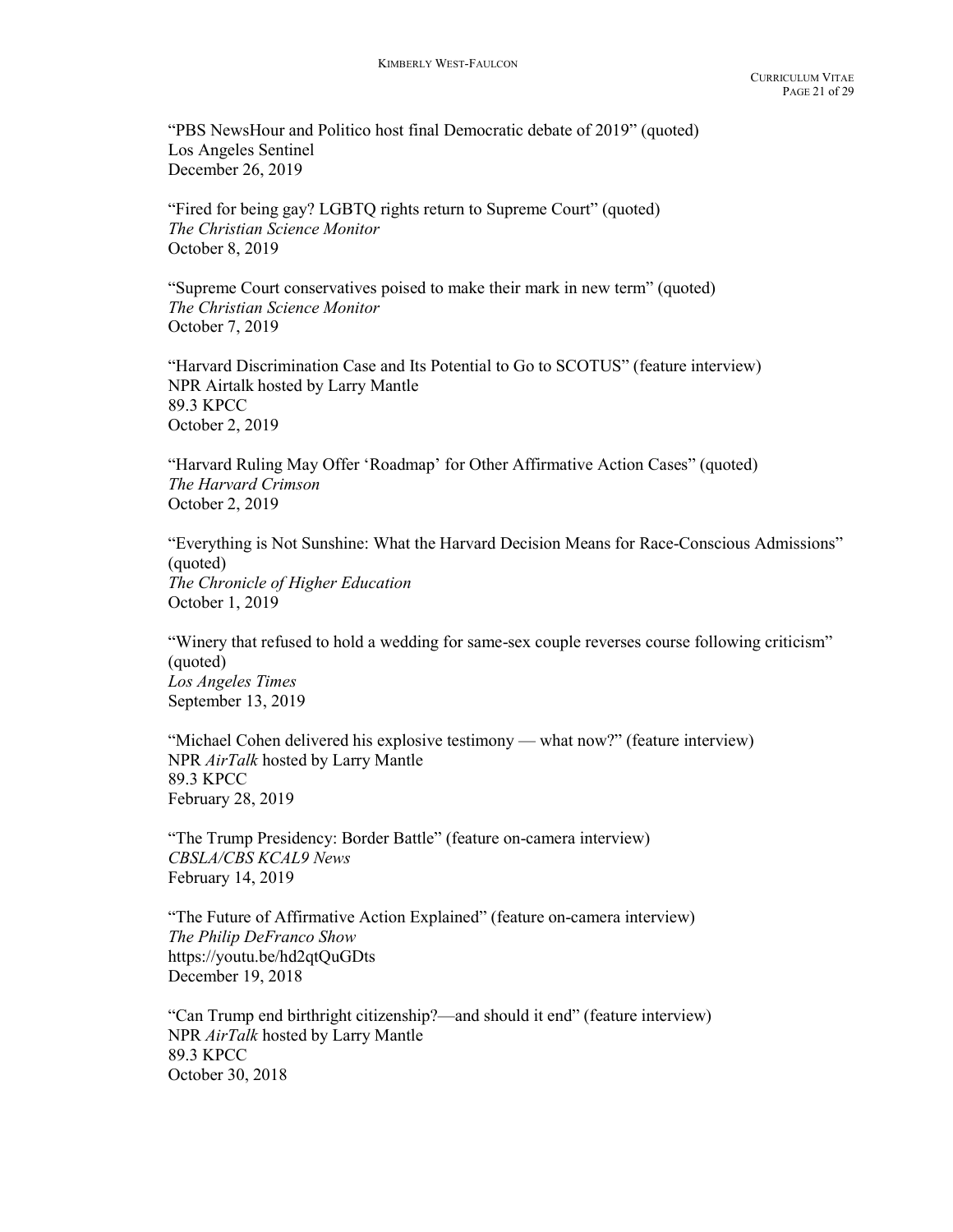"PBS NewsHour and Politico host final Democratic debate of 2019" (quoted) Los Angeles Sentinel December 26, 2019

"Fired for being gay? LGBTQ rights return to Supreme Court" (quoted) The Christian Science Monitor October 8, 2019

"Supreme Court conservatives poised to make their mark in new term" (quoted) The Christian Science Monitor October 7, 2019

"Harvard Discrimination Case and Its Potential to Go to SCOTUS" (feature interview) NPR Airtalk hosted by Larry Mantle 89.3 KPCC October 2, 2019

"Harvard Ruling May Offer 'Roadmap' for Other Affirmative Action Cases" (quoted) The Harvard Crimson October 2, 2019

"Everything is Not Sunshine: What the Harvard Decision Means for Race-Conscious Admissions" (quoted) The Chronicle of Higher Education October 1, 2019

"Winery that refused to hold a wedding for same-sex couple reverses course following criticism" (quoted) Los Angeles Times September 13, 2019

"Michael Cohen delivered his explosive testimony — what now?" (feature interview) NPR AirTalk hosted by Larry Mantle 89.3 KPCC February 28, 2019

"The Trump Presidency: Border Battle" (feature on-camera interview) CBSLA/CBS KCAL9 News February 14, 2019

"The Future of Affirmative Action Explained" (feature on-camera interview) The Philip DeFranco Show https://youtu.be/hd2qtQuGDts December 19, 2018

"Can Trump end birthright citizenship?—and should it end" (feature interview) NPR AirTalk hosted by Larry Mantle 89.3 KPCC October 30, 2018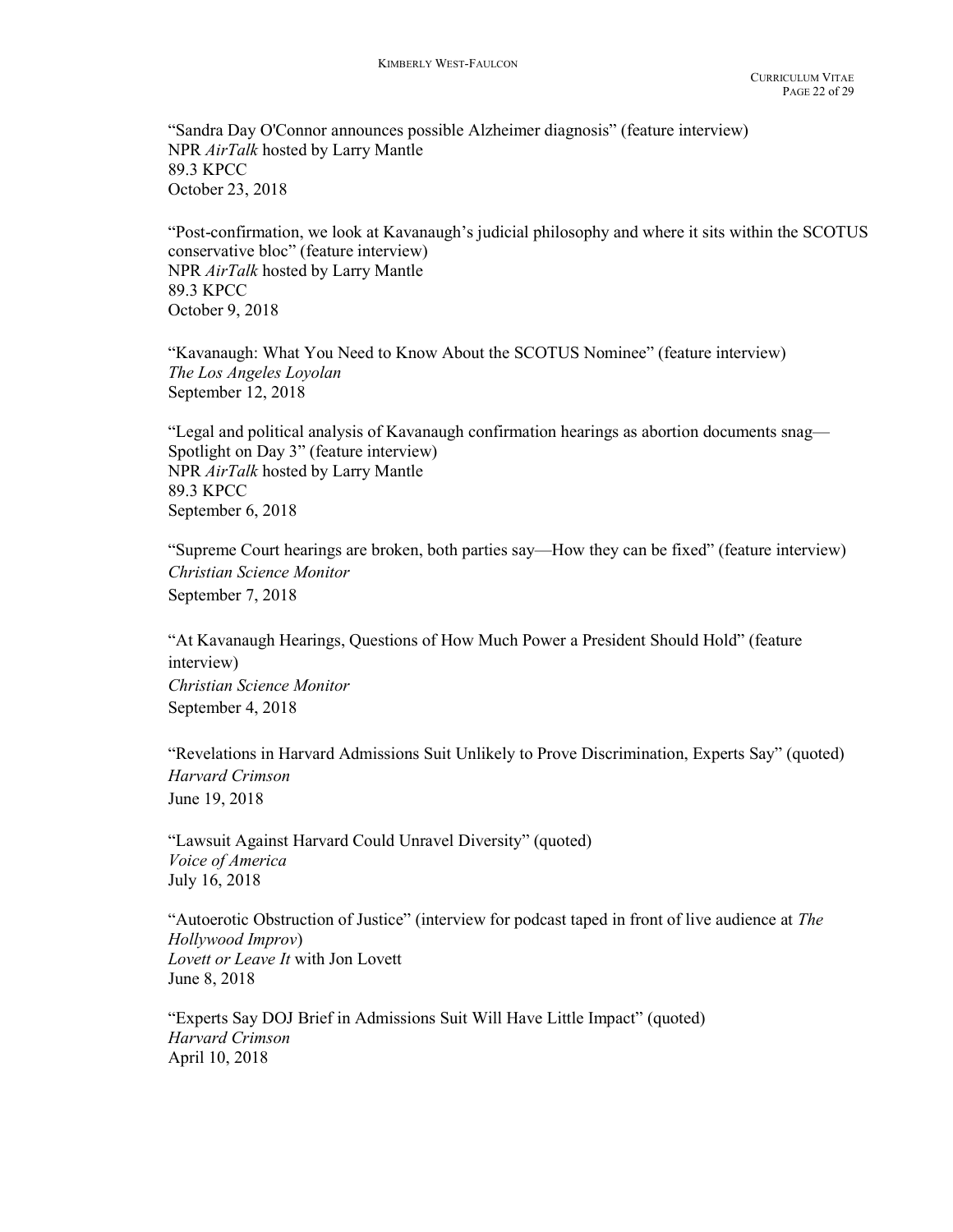"Sandra Day O'Connor announces possible Alzheimer diagnosis" (feature interview) NPR AirTalk hosted by Larry Mantle 89.3 KPCC October 23, 2018

"Post-confirmation, we look at Kavanaugh's judicial philosophy and where it sits within the SCOTUS conservative bloc" (feature interview) NPR AirTalk hosted by Larry Mantle 89.3 KPCC October 9, 2018

"Kavanaugh: What You Need to Know About the SCOTUS Nominee" (feature interview) The Los Angeles Loyolan September 12, 2018

"Legal and political analysis of Kavanaugh confirmation hearings as abortion documents snag— Spotlight on Day 3" (feature interview) NPR AirTalk hosted by Larry Mantle 89.3 KPCC September 6, 2018

"Supreme Court hearings are broken, both parties say—How they can be fixed" (feature interview) Christian Science Monitor September 7, 2018

"At Kavanaugh Hearings, Questions of How Much Power a President Should Hold" (feature interview) Christian Science Monitor September 4, 2018

"Revelations in Harvard Admissions Suit Unlikely to Prove Discrimination, Experts Say" (quoted) Harvard Crimson June 19, 2018

"Lawsuit Against Harvard Could Unravel Diversity" (quoted) Voice of America July 16, 2018

"Autoerotic Obstruction of Justice" (interview for podcast taped in front of live audience at The Hollywood Improv) Lovett or Leave It with Jon Lovett June 8, 2018

"Experts Say DOJ Brief in Admissions Suit Will Have Little Impact" (quoted) Harvard Crimson April 10, 2018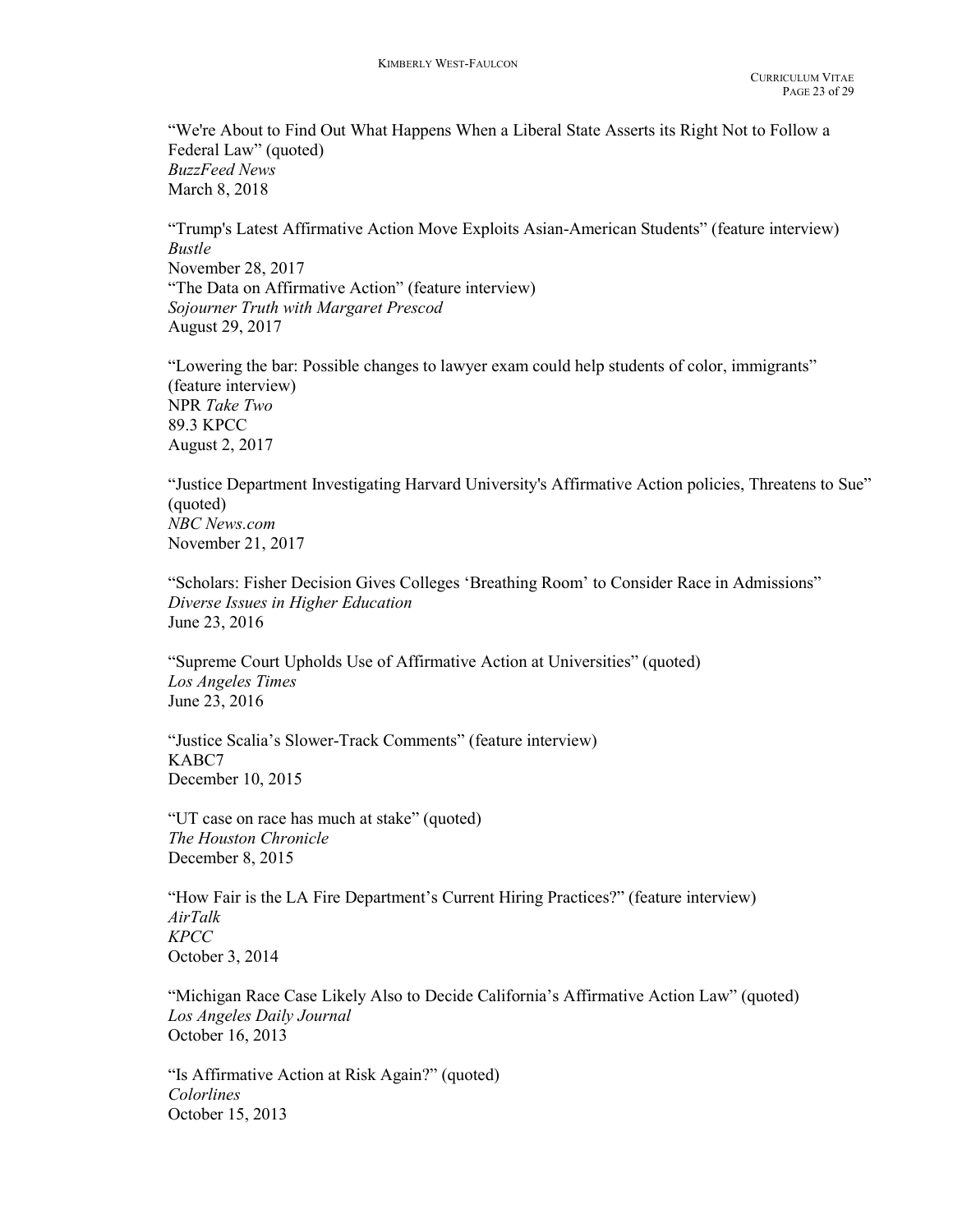"We're About to Find Out What Happens When a Liberal State Asserts its Right Not to Follow a Federal Law" (quoted) BuzzFeed News March 8, 2018

"Trump's Latest Affirmative Action Move Exploits Asian-American Students" (feature interview) Bustle November 28, 2017 "The Data on Affirmative Action" (feature interview) Sojourner Truth with Margaret Prescod August 29, 2017

"Lowering the bar: Possible changes to lawyer exam could help students of color, immigrants" (feature interview) NPR Take Two 89.3 KPCC August 2, 2017

"Justice Department Investigating Harvard University's Affirmative Action policies, Threatens to Sue" (quoted) NBC News.com November 21, 2017

"Scholars: Fisher Decision Gives Colleges 'Breathing Room' to Consider Race in Admissions" Diverse Issues in Higher Education June 23, 2016

 "Supreme Court Upholds Use of Affirmative Action at Universities" (quoted) Los Angeles Times June 23, 2016

"Justice Scalia's Slower-Track Comments" (feature interview) KABC7 December 10, 2015

 "UT case on race has much at stake" (quoted) The Houston Chronicle December 8, 2015

"How Fair is the LA Fire Department's Current Hiring Practices?" (feature interview) AirTalk KPCC October 3, 2014

"Michigan Race Case Likely Also to Decide California's Affirmative Action Law" (quoted) Los Angeles Daily Journal October 16, 2013

"Is Affirmative Action at Risk Again?" (quoted) Colorlines October 15, 2013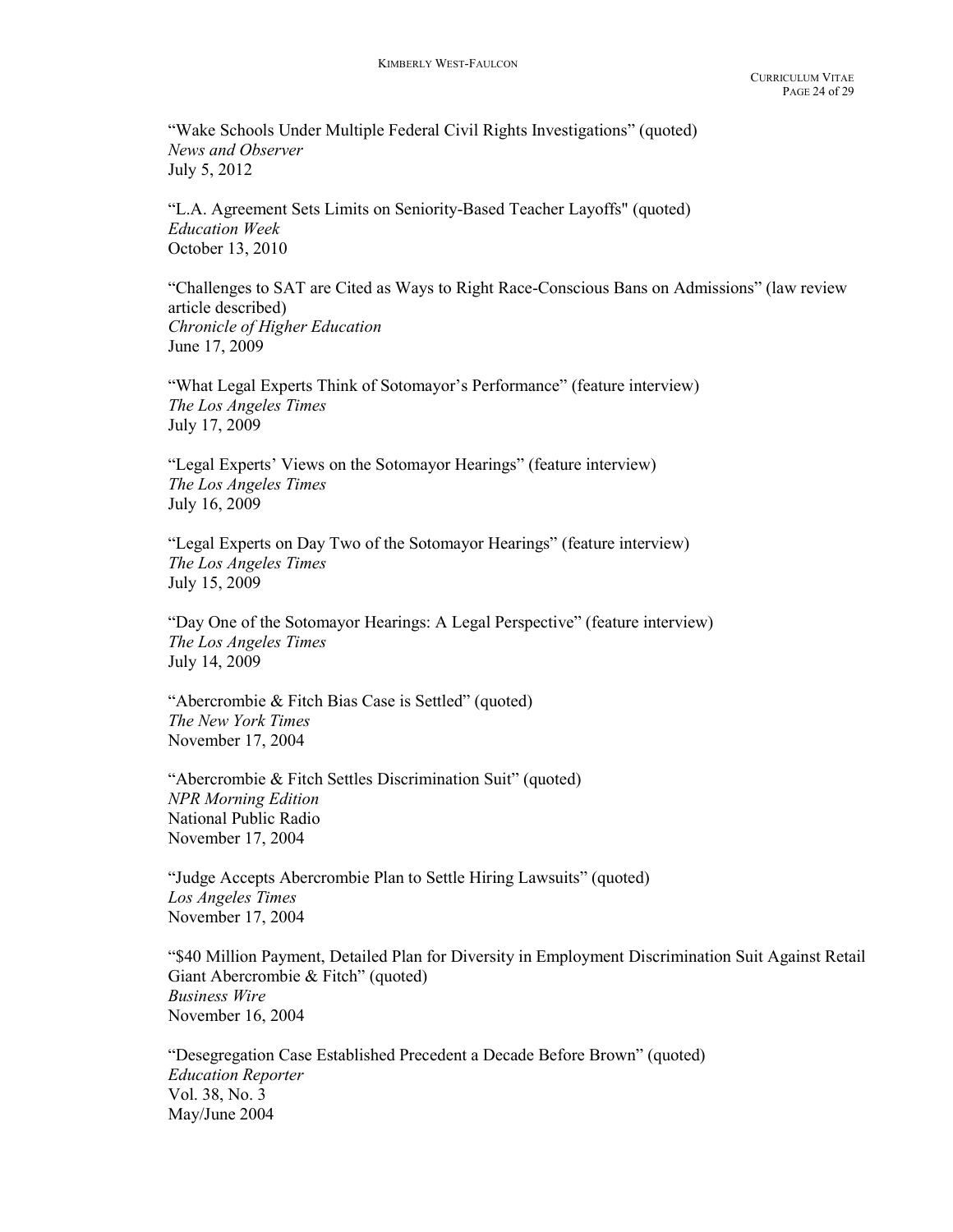"Wake Schools Under Multiple Federal Civil Rights Investigations" (quoted) News and Observer July 5, 2012

"L.A. Agreement Sets Limits on Seniority-Based Teacher Layoffs" (quoted) Education Week October 13, 2010

"Challenges to SAT are Cited as Ways to Right Race-Conscious Bans on Admissions" (law review article described) Chronicle of Higher Education June 17, 2009

 "What Legal Experts Think of Sotomayor's Performance" (feature interview) The Los Angeles Times July 17, 2009

 "Legal Experts' Views on the Sotomayor Hearings" (feature interview) The Los Angeles Times July 16, 2009

 "Legal Experts on Day Two of the Sotomayor Hearings" (feature interview) The Los Angeles Times July 15, 2009

 "Day One of the Sotomayor Hearings: A Legal Perspective" (feature interview) The Los Angeles Times July 14, 2009

"Abercrombie & Fitch Bias Case is Settled" (quoted) The New York Times November 17, 2004

 "Abercrombie & Fitch Settles Discrimination Suit" (quoted) NPR Morning Edition National Public Radio November 17, 2004

 "Judge Accepts Abercrombie Plan to Settle Hiring Lawsuits" (quoted) Los Angeles Times November 17, 2004

 "\$40 Million Payment, Detailed Plan for Diversity in Employment Discrimination Suit Against Retail Giant Abercrombie & Fitch" (quoted) Business Wire November 16, 2004

 "Desegregation Case Established Precedent a Decade Before Brown" (quoted) Education Reporter Vol. 38, No. 3 May/June 2004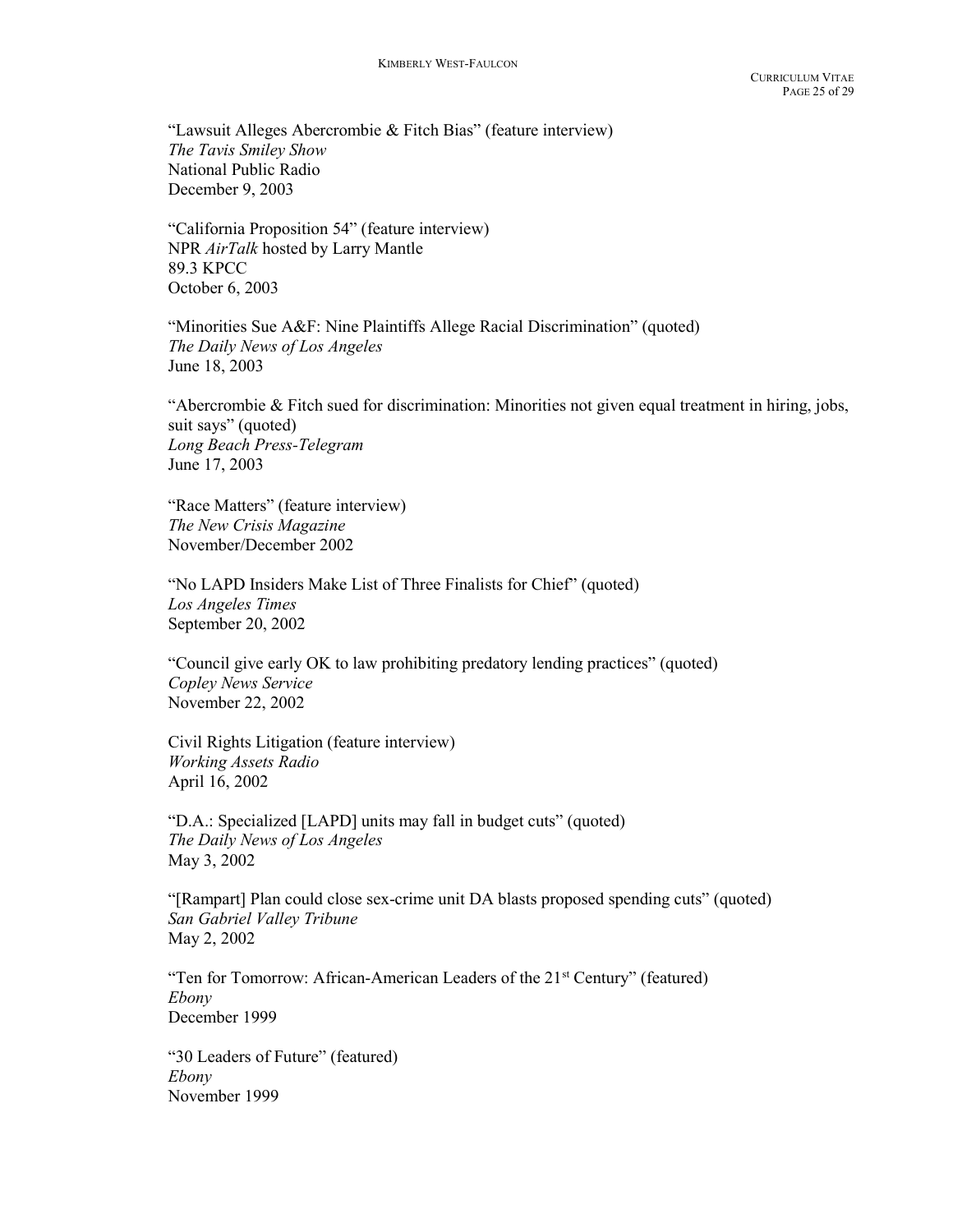"Lawsuit Alleges Abercrombie & Fitch Bias" (feature interview) The Tavis Smiley Show National Public Radio December 9, 2003

 "California Proposition 54" (feature interview) NPR AirTalk hosted by Larry Mantle 89.3 KPCC October 6, 2003

 "Minorities Sue A&F: Nine Plaintiffs Allege Racial Discrimination" (quoted) The Daily News of Los Angeles June 18, 2003

 "Abercrombie & Fitch sued for discrimination: Minorities not given equal treatment in hiring, jobs, suit says" (quoted) Long Beach Press-Telegram June 17, 2003

 "Race Matters" (feature interview) The New Crisis Magazine November/December 2002

 "No LAPD Insiders Make List of Three Finalists for Chief" (quoted) Los Angeles Times September 20, 2002

 "Council give early OK to law prohibiting predatory lending practices" (quoted) Copley News Service November 22, 2002

 Civil Rights Litigation (feature interview) Working Assets Radio April 16, 2002

 "D.A.: Specialized [LAPD] units may fall in budget cuts" (quoted) The Daily News of Los Angeles May 3, 2002

 "[Rampart] Plan could close sex-crime unit DA blasts proposed spending cuts" (quoted) San Gabriel Valley Tribune May 2, 2002

"Ten for Tomorrow: African-American Leaders of the 21<sup>st</sup> Century" (featured) Ebony December 1999

 "30 Leaders of Future" (featured) Ebony November 1999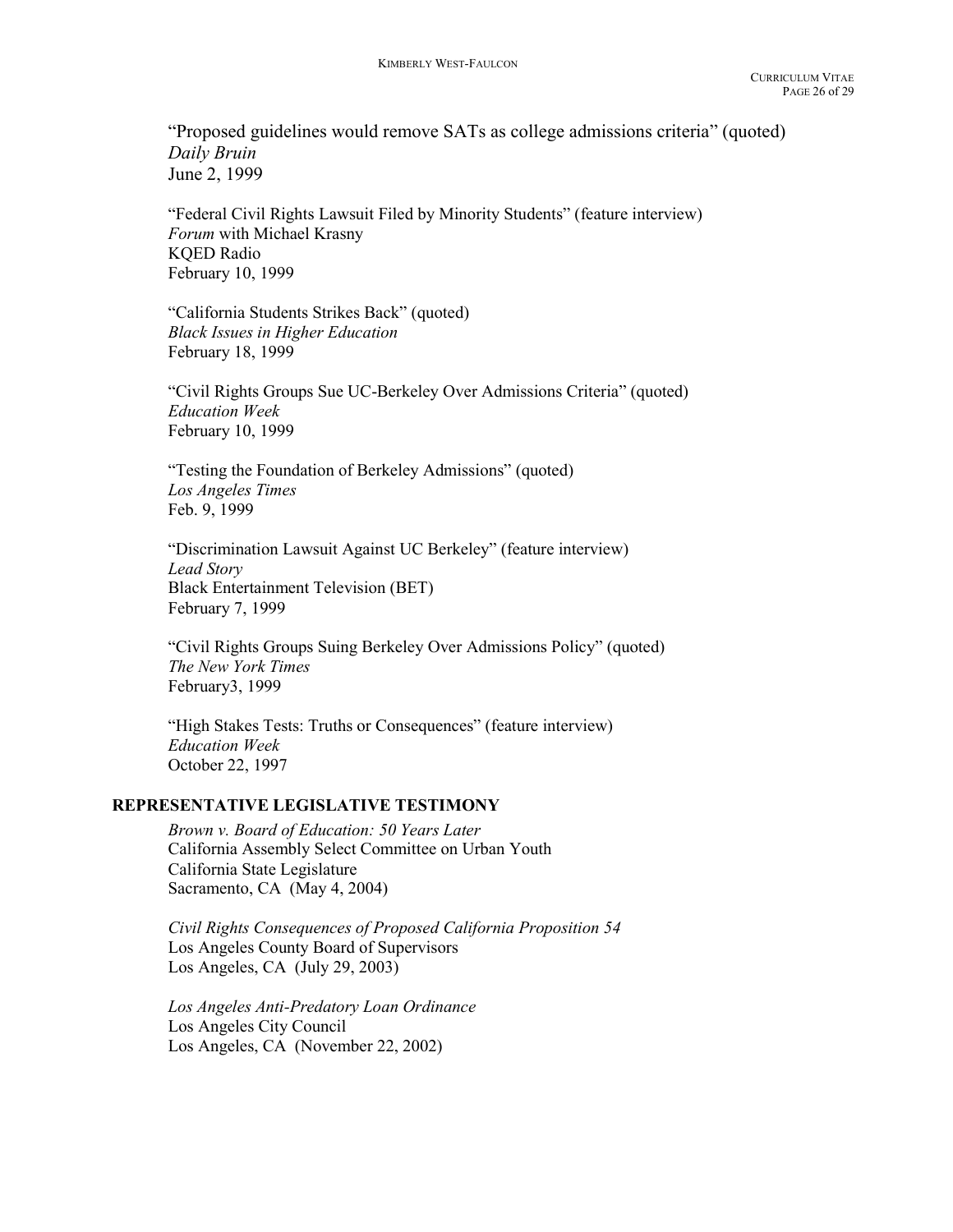"Proposed guidelines would remove SATs as college admissions criteria" (quoted) Daily Bruin June 2, 1999

 "Federal Civil Rights Lawsuit Filed by Minority Students" (feature interview) Forum with Michael Krasny KQED Radio February 10, 1999

 "California Students Strikes Back" (quoted) Black Issues in Higher Education February 18, 1999

 "Civil Rights Groups Sue UC-Berkeley Over Admissions Criteria" (quoted) Education Week February 10, 1999

 "Testing the Foundation of Berkeley Admissions" (quoted) Los Angeles Times Feb. 9, 1999

 "Discrimination Lawsuit Against UC Berkeley" (feature interview) Lead Story Black Entertainment Television (BET) February 7, 1999

 "Civil Rights Groups Suing Berkeley Over Admissions Policy" (quoted) The New York Times February3, 1999

 "High Stakes Tests: Truths or Consequences" (feature interview) Education Week October 22, 1997

#### REPRESENTATIVE LEGISLATIVE TESTIMONY

Brown v. Board of Education: 50 Years Later California Assembly Select Committee on Urban Youth California State Legislature Sacramento, CA (May 4, 2004)

Civil Rights Consequences of Proposed California Proposition 54 Los Angeles County Board of Supervisors Los Angeles, CA (July 29, 2003)

Los Angeles Anti-Predatory Loan Ordinance Los Angeles City Council Los Angeles, CA (November 22, 2002)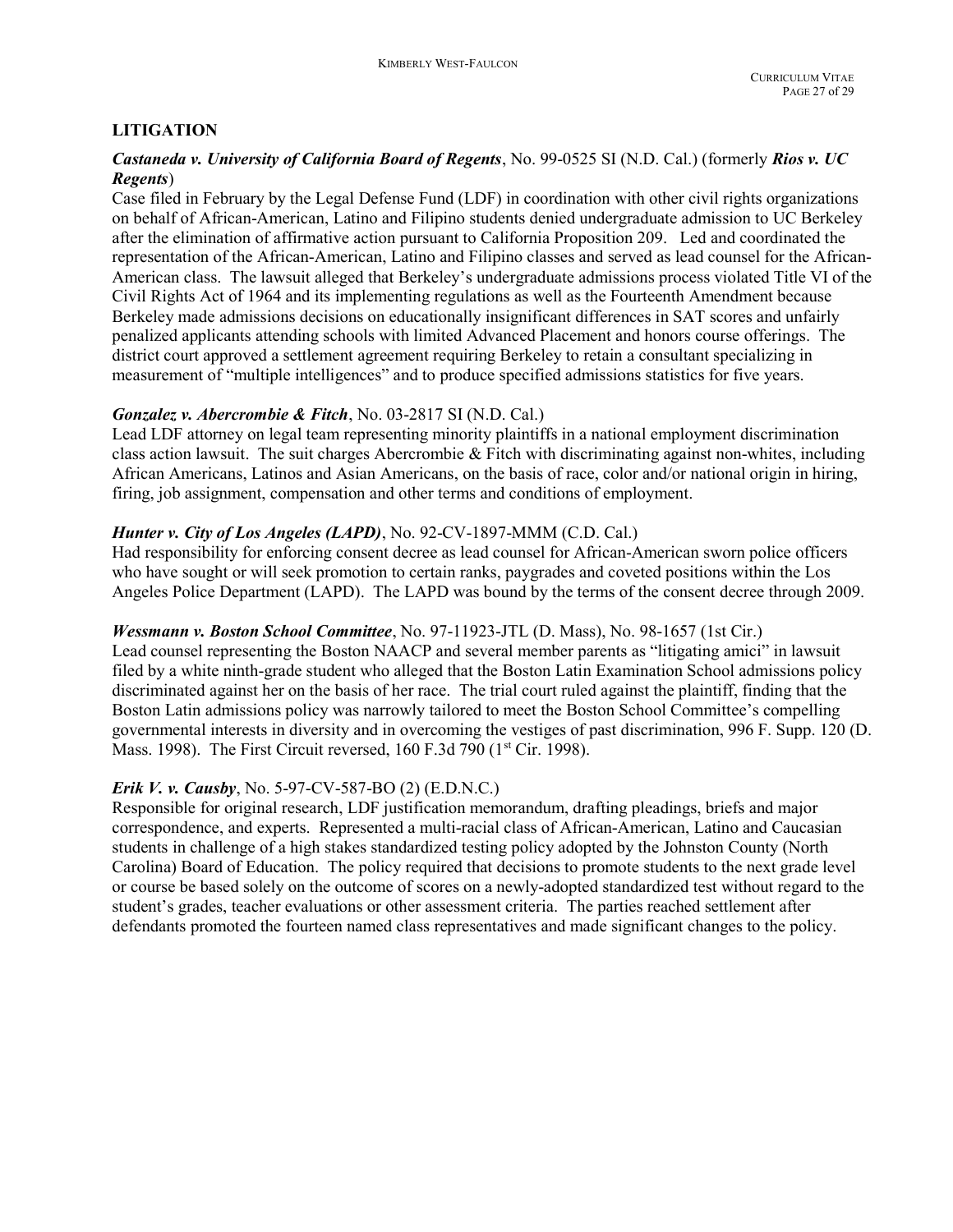## LITIGATION

## Castaneda v. University of California Board of Regents, No. 99-0525 SI (N.D. Cal.) (formerly Rios v. UC Regents)

Case filed in February by the Legal Defense Fund (LDF) in coordination with other civil rights organizations on behalf of African-American, Latino and Filipino students denied undergraduate admission to UC Berkeley after the elimination of affirmative action pursuant to California Proposition 209. Led and coordinated the representation of the African-American, Latino and Filipino classes and served as lead counsel for the African-American class. The lawsuit alleged that Berkeley's undergraduate admissions process violated Title VI of the Civil Rights Act of 1964 and its implementing regulations as well as the Fourteenth Amendment because Berkeley made admissions decisions on educationally insignificant differences in SAT scores and unfairly penalized applicants attending schools with limited Advanced Placement and honors course offerings. The district court approved a settlement agreement requiring Berkeley to retain a consultant specializing in measurement of "multiple intelligences" and to produce specified admissions statistics for five years.

## Gonzalez v. Abercrombie & Fitch, No. 03-2817 SI (N.D. Cal.)

Lead LDF attorney on legal team representing minority plaintiffs in a national employment discrimination class action lawsuit. The suit charges Abercrombie & Fitch with discriminating against non-whites, including African Americans, Latinos and Asian Americans, on the basis of race, color and/or national origin in hiring, firing, job assignment, compensation and other terms and conditions of employment.

## Hunter v. City of Los Angeles (LAPD), No. 92-CV-1897-MMM (C.D. Cal.)

Had responsibility for enforcing consent decree as lead counsel for African-American sworn police officers who have sought or will seek promotion to certain ranks, paygrades and coveted positions within the Los Angeles Police Department (LAPD). The LAPD was bound by the terms of the consent decree through 2009.

## Wessmann v. Boston School Committee, No. 97-11923-JTL (D. Mass), No. 98-1657 (1st Cir.)

Lead counsel representing the Boston NAACP and several member parents as "litigating amici" in lawsuit filed by a white ninth-grade student who alleged that the Boston Latin Examination School admissions policy discriminated against her on the basis of her race. The trial court ruled against the plaintiff, finding that the Boston Latin admissions policy was narrowly tailored to meet the Boston School Committee's compelling governmental interests in diversity and in overcoming the vestiges of past discrimination, 996 F. Supp. 120 (D. Mass. 1998). The First Circuit reversed, 160 F.3d 790 (1<sup>st</sup> Cir. 1998).

# Erik V. v. Causby, No. 5-97-CV-587-BO (2) (E.D.N.C.)

Responsible for original research, LDF justification memorandum, drafting pleadings, briefs and major correspondence, and experts. Represented a multi-racial class of African-American, Latino and Caucasian students in challenge of a high stakes standardized testing policy adopted by the Johnston County (North Carolina) Board of Education. The policy required that decisions to promote students to the next grade level or course be based solely on the outcome of scores on a newly-adopted standardized test without regard to the student's grades, teacher evaluations or other assessment criteria. The parties reached settlement after defendants promoted the fourteen named class representatives and made significant changes to the policy.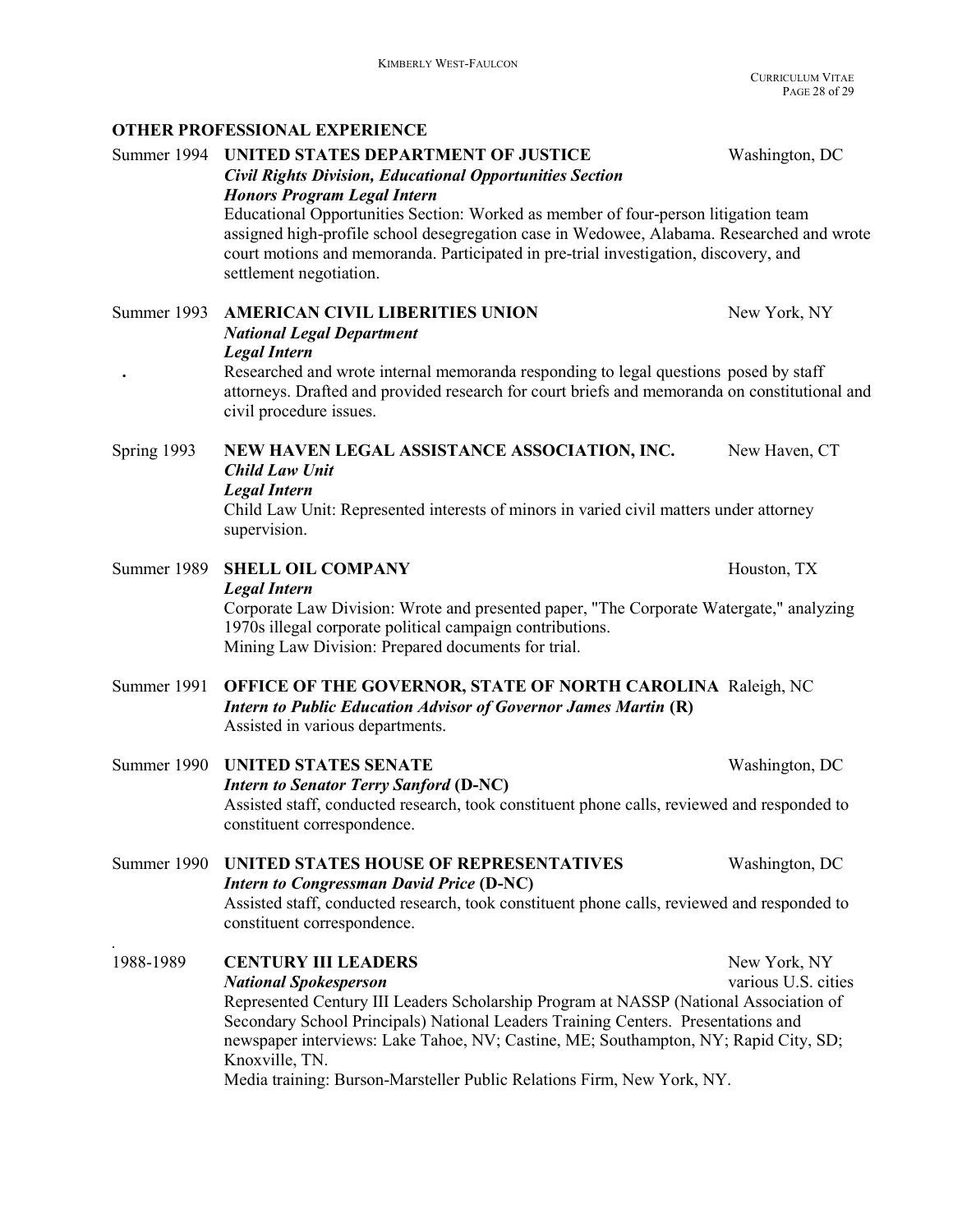OTHER PROFESSIONAL EXPERIENCE

Summer 1994 UNITED STATES DEPARTMENT OF JUSTICE Washington, DC Civil Rights Division, Educational Opportunities Section Honors Program Legal Intern Educational Opportunities Section: Worked as member of four-person litigation team assigned high-profile school desegregation case in Wedowee, Alabama. Researched and wrote court motions and memoranda. Participated in pre-trial investigation, discovery, and settlement negotiation. Summer 1993 AMERICAN CIVIL LIBERITIES UNION New York, NY National Legal Department Legal Intern . Researched and wrote internal memoranda responding to legal questions posed by staff attorneys. Drafted and provided research for court briefs and memoranda on constitutional and civil procedure issues. Spring 1993 NEW HAVEN LEGAL ASSISTANCE ASSOCIATION, INC. New Haven, CT Child Law Unit Legal Intern Child Law Unit: Represented interests of minors in varied civil matters under attorney supervision. Summer 1989 SHELL OIL COMPANY THE STATE SHOW HOUSTON, TX Legal Intern Corporate Law Division: Wrote and presented paper, "The Corporate Watergate," analyzing 1970s illegal corporate political campaign contributions. Mining Law Division: Prepared documents for trial. Summer 1991 OFFICE OF THE GOVERNOR, STATE OF NORTH CAROLINA Raleigh, NC Intern to Public Education Advisor of Governor James Martin (R) Assisted in various departments. Summer 1990 UNITED STATES SENATE Washington, DC Intern to Senator Terry Sanford (D-NC) Assisted staff, conducted research, took constituent phone calls, reviewed and responded to constituent correspondence. Summer 1990 UNITED STATES HOUSE OF REPRESENTATIVES Washington, DC Intern to Congressman David Price (D-NC) Assisted staff, conducted research, took constituent phone calls, reviewed and responded to constituent correspondence. . 1988-1989 CENTURY III LEADERS New York, NY National Spokesperson various U.S. cities Represented Century III Leaders Scholarship Program at NASSP (National Association of Secondary School Principals) National Leaders Training Centers. Presentations and newspaper interviews: Lake Tahoe, NV; Castine, ME; Southampton, NY; Rapid City, SD; Knoxville, TN. Media training: Burson-Marsteller Public Relations Firm, New York, NY.